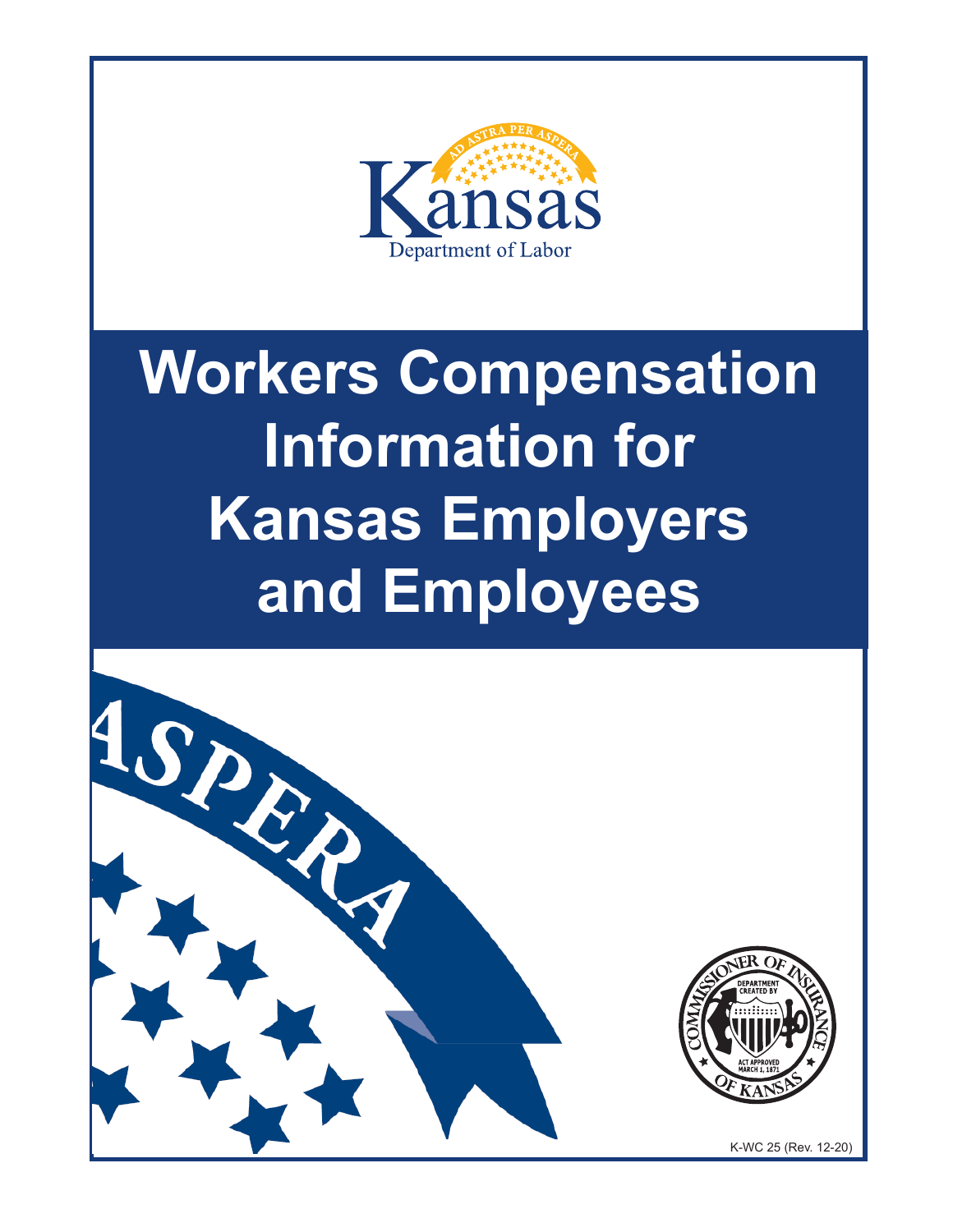

# **Workers Compensation Information for Kansas Employers and Employees**

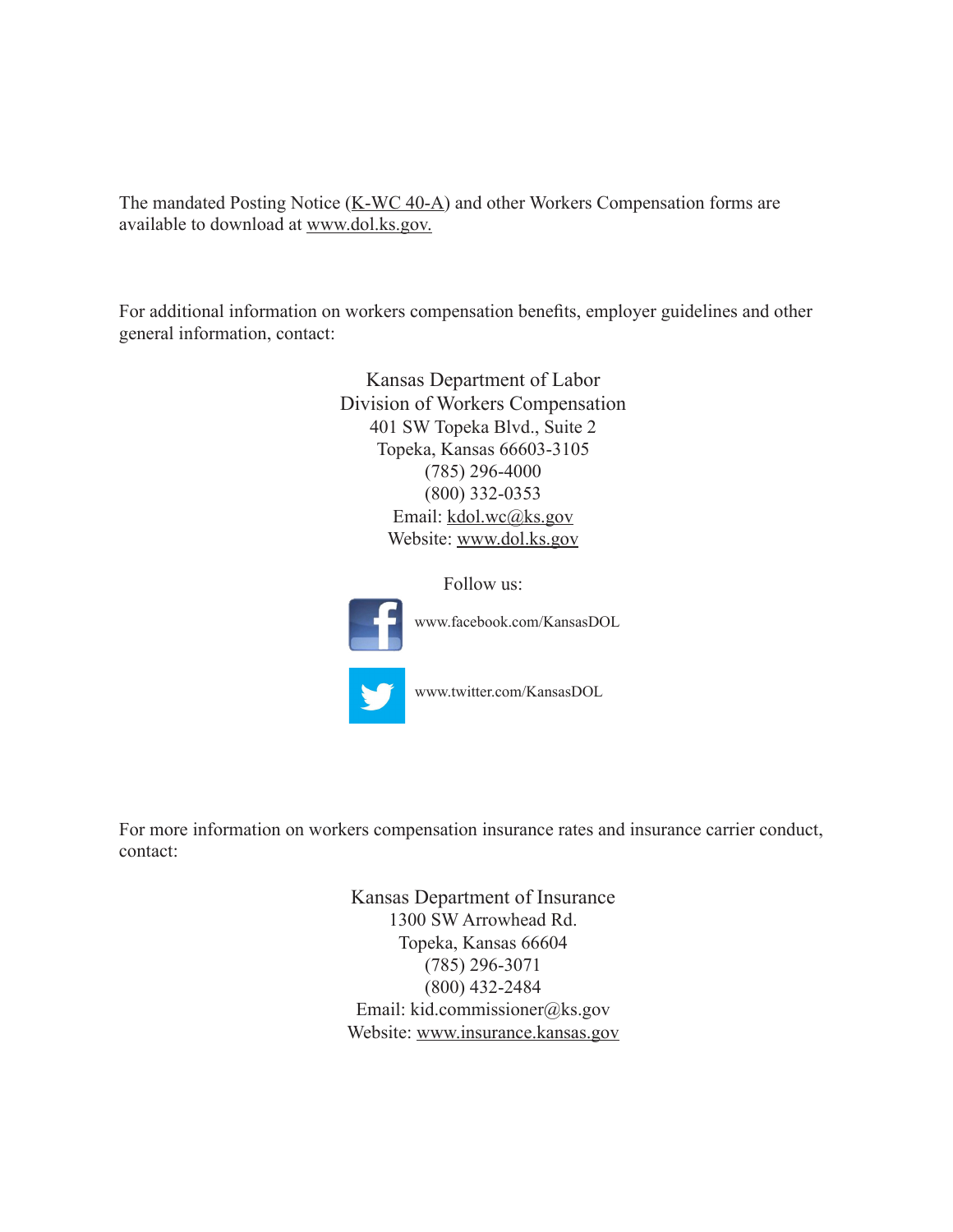The mandated Posting Notice  $(K-WC 40-A)$  $(K-WC 40-A)$  $(K-WC 40-A)$  and other Workers Compensation forms are available to download at [www.dol.ks.gov.](https://www.dol.ks.gov/WC/resources/forms-and-publications)

For additional information on workers compensation benefits, employer guidelines and other general information, contact:

> Kansas Department of Labor Division of Workers Compensation 401 SW Topeka Blvd., Suite 2 Topeka, Kansas 66603-3105 (785) 296-4000 (800) 332-0353 Email: kdol.wc@ks.gov Website: [www.dol.ks.gov](http://www.dol.ks.gov/WorkComp/Default.aspx)

> > Follow us:



www.facebook.com/KansasDOL

www.twitter.com/KansasDOL

For more information on workers compensation insurance rates and insurance carrier conduct, contact:

> Kansas Department of Insurance 1300 SW Arrowhead Rd. Topeka, Kansas 66604 (785) 296-3071 (800) 432-2484 Email: kid.commissioner@ks.gov Website: [www.insurance.kansas.gov](https://insurance.kansas.gov)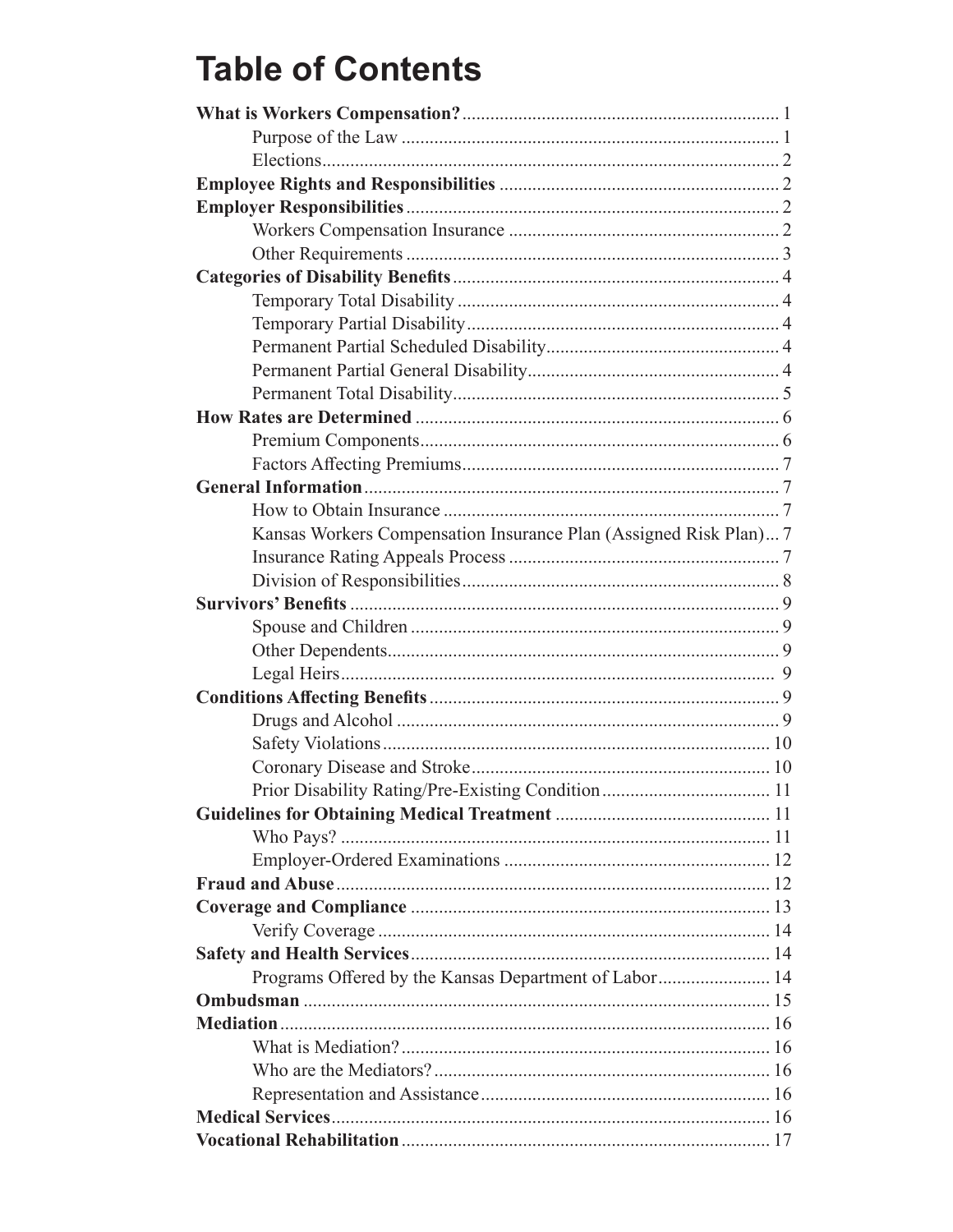### **Table of Contents**

| Kansas Workers Compensation Insurance Plan (Assigned Risk Plan) 7 |  |
|-------------------------------------------------------------------|--|
|                                                                   |  |
|                                                                   |  |
|                                                                   |  |
|                                                                   |  |
|                                                                   |  |
|                                                                   |  |
|                                                                   |  |
|                                                                   |  |
|                                                                   |  |
|                                                                   |  |
|                                                                   |  |
|                                                                   |  |
|                                                                   |  |
|                                                                   |  |
|                                                                   |  |
|                                                                   |  |
|                                                                   |  |
|                                                                   |  |
| Programs Offered by the Kansas Department of Labor 14             |  |
|                                                                   |  |
|                                                                   |  |
|                                                                   |  |
|                                                                   |  |
|                                                                   |  |
|                                                                   |  |
|                                                                   |  |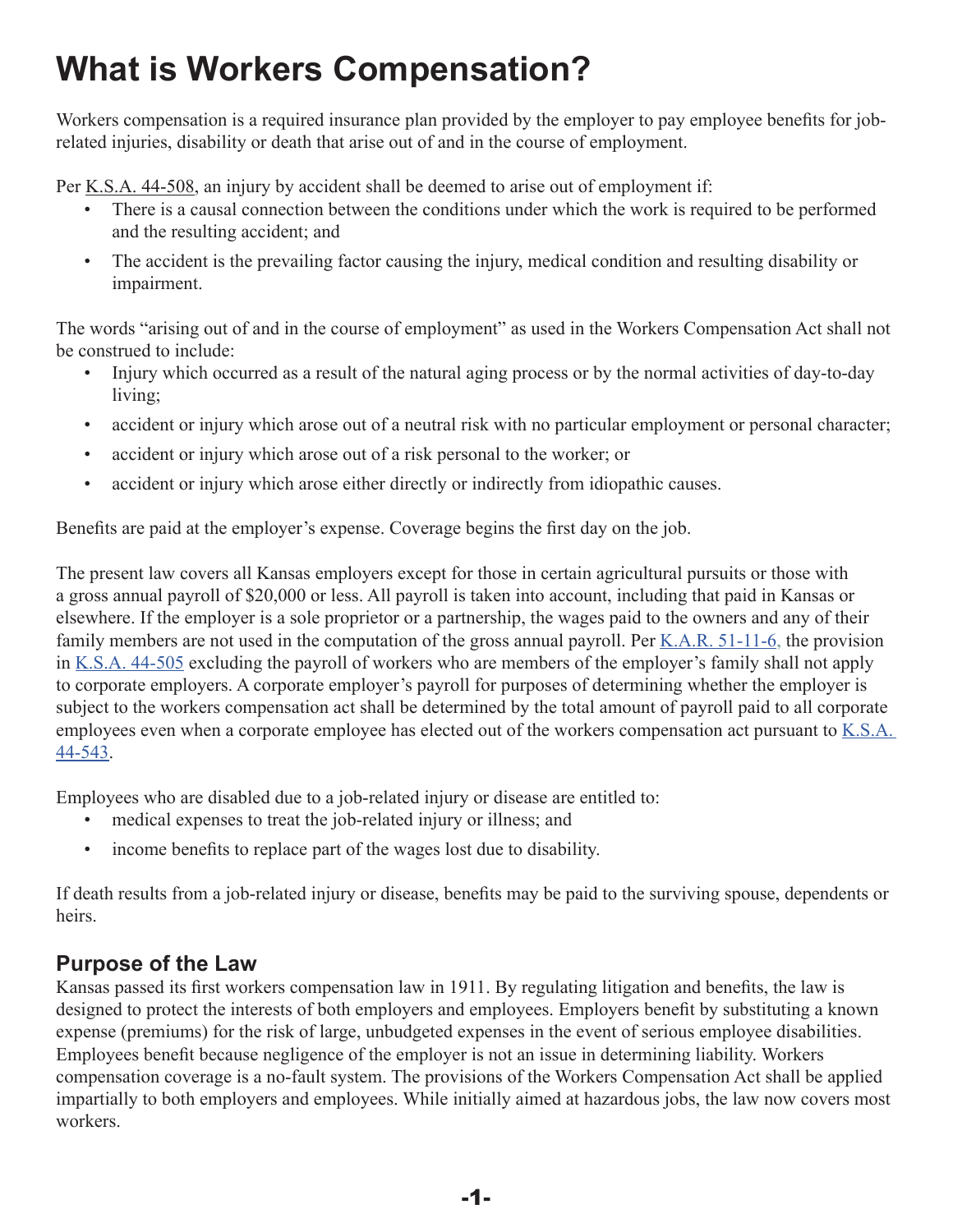# <span id="page-3-0"></span>**What is Workers Compensation?**

Workers compensation is a required insurance plan provided by the employer to pay employee benefits for jobrelated injuries, disability or death that arise out of and in the course of employment.

Per [K.S.A. 44-508,](http://kslegislature.org/li_2014/b2013_14/statute/044_000_0000_chapter/044_005_0000_article/044_005_0008_section/044_005_0008_k/) an injury by accident shall be deemed to arise out of employment if:

- There is a causal connection between the conditions under which the work is required to be performed and the resulting accident; and
- The accident is the prevailing factor causing the injury, medical condition and resulting disability or impairment.

The words "arising out of and in the course of employment" as used in the Workers Compensation Act shall not be construed to include:

- Injury which occurred as a result of the natural aging process or by the normal activities of day-to-day living;
- accident or injury which arose out of a neutral risk with no particular employment or personal character;
- accident or injury which arose out of a risk personal to the worker; or
- accident or injury which arose either directly or indirectly from idiopathic causes.

Benefits are paid at the employer's expense. Coverage begins the first day on the job.

The present law covers all Kansas employers except for those in certain agricultural pursuits or those with a gross annual payroll of \$20,000 or less. All payroll is taken into account, including that paid in Kansas or elsewhere. If the employer is a sole proprietor or a partnership, the wages paid to the owners and any of their family members are not used in the computation of the gross annual payroll. Per  $K.A.R. 51-11-6$ , the provision in [K.S.A. 44-505](http://kslegislature.org/li_2014/b2013_14/statute/044_000_0000_chapter/044_005_0000_article/044_005_0005_section/044_005_0005_k/) excluding the payroll of workers who are members of the employer's family shall not apply to corporate employers. A corporate employer's payroll for purposes of determining whether the employer is subject to the workers compensation act shall be determined by the total amount of payroll paid to all corporate employees even when a corporate employee has elected out of the workers compensation act pursuant to [K.S.A.](http://www.kslegislature.org/li_2014/b2013_14/statute/044_000_0000_chapter/044_005_0000_article/044_005_0043_section/044_005_0043_k/)  [44-543](http://www.kslegislature.org/li_2014/b2013_14/statute/044_000_0000_chapter/044_005_0000_article/044_005_0043_section/044_005_0043_k/).

Employees who are disabled due to a job-related injury or disease are entitled to:

- medical expenses to treat the job-related injury or illness; and
- income benefits to replace part of the wages lost due to disability.

If death results from a job-related injury or disease, benefits may be paid to the surviving spouse, dependents or heirs.

#### **Purpose of the Law**

Kansas passed its first workers compensation law in 1911. By regulating litigation and benefits, the law is designed to protect the interests of both employers and employees. Employers benefit by substituting a known expense (premiums) for the risk of large, unbudgeted expenses in the event of serious employee disabilities. Employees benefit because negligence of the employer is not an issue in determining liability. Workers compensation coverage is a no-fault system. The provisions of the Workers Compensation Act shall be applied impartially to both employers and employees. While initially aimed at hazardous jobs, the law now covers most workers.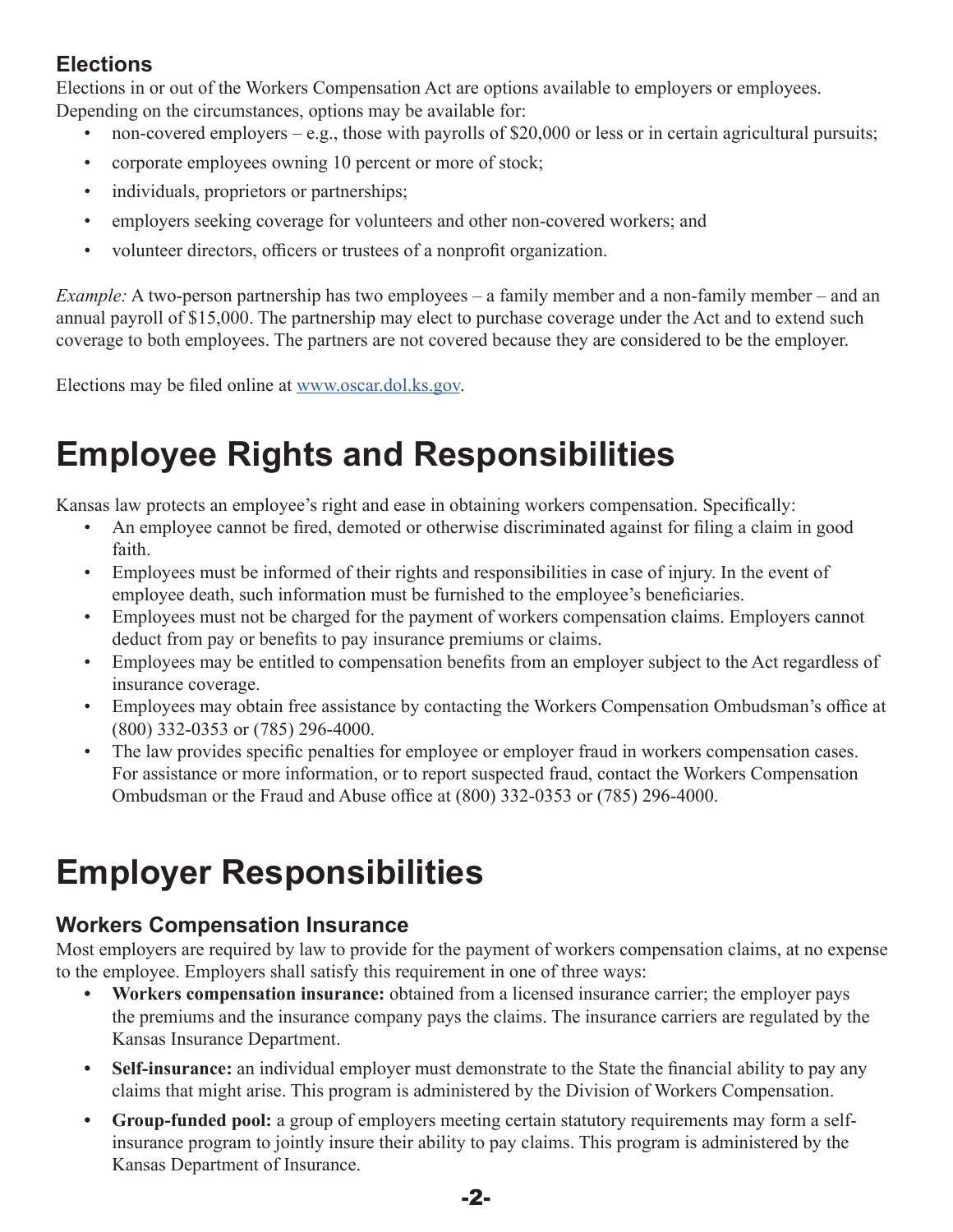### <span id="page-4-0"></span>**Elections**

Elections in or out of the Workers Compensation Act are options available to employers or employees. Depending on the circumstances, options may be available for:

- non-covered employers e.g., those with payrolls of \$20,000 or less or in certain agricultural pursuits;
- corporate employees owning 10 percent or more of stock;
- individuals, proprietors or partnerships;
- employers seeking coverage for volunteers and other non-covered workers; and
- volunteer directors, officers or trustees of a nonprofit organization.

*Example:* A two-person partnership has two employees – a family member and a non-family member – and an annual payroll of \$15,000. The partnership may elect to purchase coverage under the Act and to extend such coverage to both employees. The partners are not covered because they are considered to be the employer.

Elections may be filed online at [www.oscar.dol.ks.gov.](http://www.oscar.dol.ks.gov)

# **Employee Rights and Responsibilities**

Kansas law protects an employee's right and ease in obtaining workers compensation. Specifically:

- An employee cannot be fired, demoted or otherwise discriminated against for filing a claim in good faith.
- Employees must be informed of their rights and responsibilities in case of injury. In the event of employee death, such information must be furnished to the employee's beneficiaries.
- Employees must not be charged for the payment of workers compensation claims. Employers cannot deduct from pay or benefits to pay insurance premiums or claims.
- Employees may be entitled to compensation benefits from an employer subject to the Act regardless of insurance coverage.
- Employees may obtain free assistance by contacting the Workers Compensation Ombudsman's office at (800) 332-0353 or (785) 296-4000.
- The law provides specific penalties for employee or employer fraud in workers compensation cases. For assistance or more information, or to report suspected fraud, contact the Workers Compensation Ombudsman or the Fraud and Abuse office at (800) 332-0353 or (785) 296-4000.

# **Employer Responsibilities**

### **Workers Compensation Insurance**

Most employers are required by law to provide for the payment of workers compensation claims, at no expense to the employee. Employers shall satisfy this requirement in one of three ways:

- **• Workers compensation insurance:** obtained from a licensed insurance carrier; the employer pays the premiums and the insurance company pays the claims. The insurance carriers are regulated by the Kansas Insurance Department.
- **• Self-insurance:** an individual employer must demonstrate to the State the financial ability to pay any claims that might arise. This program is administered by the Division of Workers Compensation.
- **• Group-funded pool:** a group of employers meeting certain statutory requirements may form a selfinsurance program to jointly insure their ability to pay claims. This program is administered by the Kansas Department of Insurance.

-2-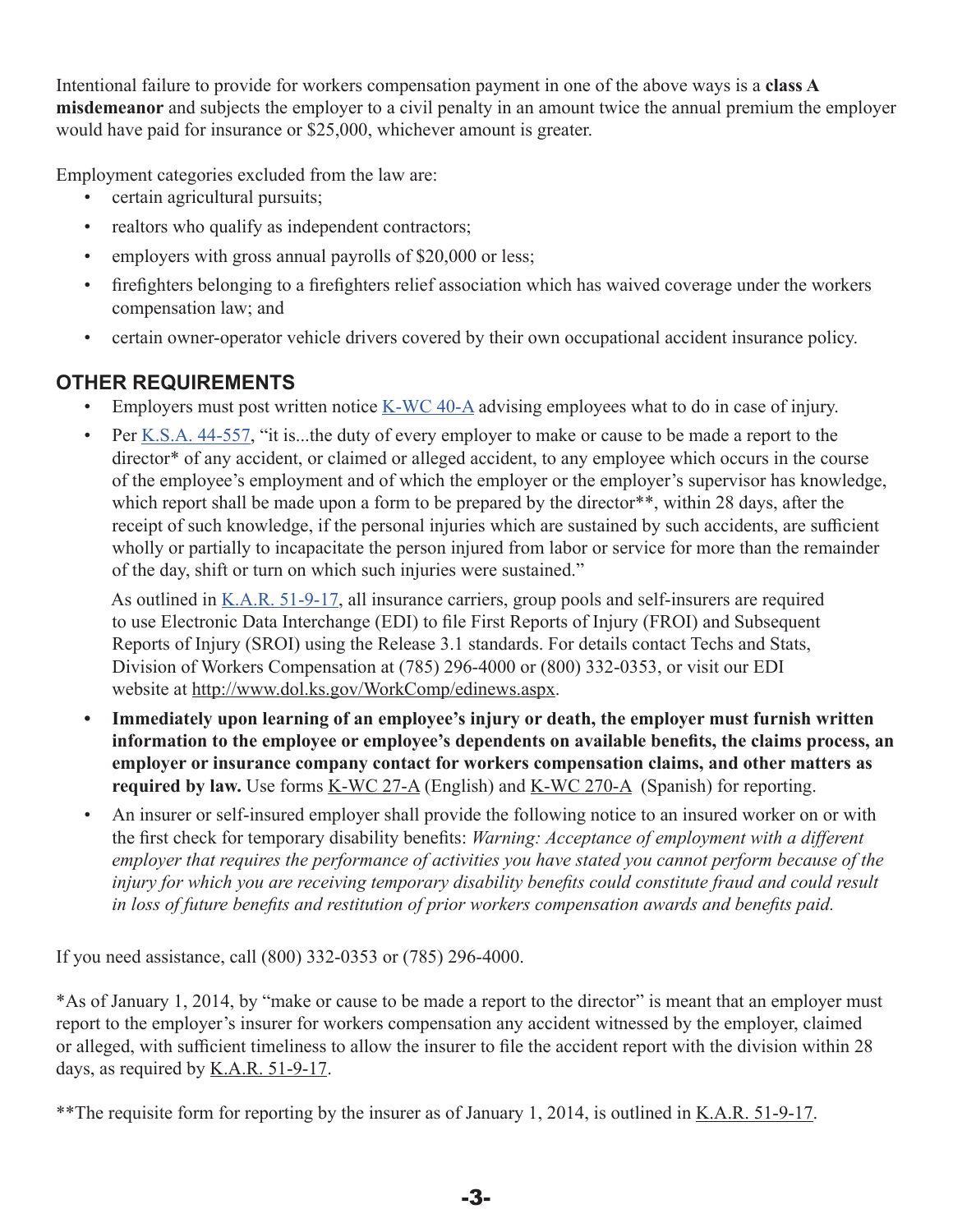<span id="page-5-0"></span>Intentional failure to provide for workers compensation payment in one of the above ways is a **class A misdemeanor** and subjects the employer to a civil penalty in an amount twice the annual premium the employer would have paid for insurance or \$25,000, whichever amount is greater.

Employment categories excluded from the law are:

- certain agricultural pursuits;
- realtors who qualify as independent contractors;
- employers with gross annual payrolls of \$20,000 or less;
- firefighters belonging to a firefighters relief association which has waived coverage under the workers compensation law; and
- certain owner-operator vehicle drivers covered by their own occupational accident insurance policy.

#### **OTHER REQUIREMENTS**

- Employers must post written notice [K-WC 40-A](https://www.dol.ks.gov/docs/default-source/workers-compensation-documents/forms-and-publications/employers-and-employees/k-wc-40-a.pdf?sfvrsn=14c3b71f_10) advising employees what to do in case of injury.
- Per <u>K.S.A. 44-557</u>, "it is...the duty of every employer to make or cause to be made a report to the director<sup>\*</sup> of any accident, or claimed or alleged accident, to any employee which occurs in the course of the employee's employment and of which the employer or the employer's supervisor has knowledge, which report shall be made upon a form to be prepared by the director<sup>\*\*</sup>, within 28 days, after the receipt of such knowledge, if the personal injuries which are sustained by such accidents, are sufficient wholly or partially to incapacitate the person injured from labor or service for more than the remainder of the day, shift or turn on which such injuries were sustained."

As outlined in <u>K.A.R. 51-9-17</u>, all insurance carriers, group pools and self-insurers are required to use Electronic Data Interchange (EDI) to file First Reports of Injury (FROI) and Subsequent Reports of Injury (SROI) using the Release 3.1 standards. For details contact Techs and Stats, Division of Workers Compensation at (785) 296-4000 or (800) 332-0353, or visit our EDI website at [http://www.dol.ks.gov/WorkComp/edinews.aspx](https://www.dol.ks.gov/WC/insurer).

- **• Immediately upon learning of an employee's injury or death, the employer must furnish written information to the employee or employee's dependents on available benefits, the claims process, an employer or insurance company contact for workers compensation claims, and other matters as required by law.** Use forms <u>[K-WC 27-A](https://www.dol.ks.gov/docs/default-source/workers-compensation-documents/forms-and-publications/employers-and-employees/k-wc-27-a.pdf?sfvrsn=18c3b71f_11)</u> (English) and <u>[K-WC 270-A](https://www.dol.ks.gov/docs/default-source/workers-compensation-documents/forms-and-publications/employers-and-employees/k-wc-270-a.pdf?sfvrsn=9806b21f_11)</u> (Spanish) for reporting.
- An insurer or self-insured employer shall provide the following notice to an insured worker on or with the first check for temporary disability benefits: *Warning: Acceptance of employment with a different employer that requires the performance of activities you have stated you cannot perform because of the injury for which you are receiving temporary disability benefits could constitute fraud and could result in loss of future benefits and restitution of prior workers compensation awards and benefits paid.*

If you need assistance, call (800) 332-0353 or (785) 296-4000.

\*As of January 1, 2014, by "make or cause to be made a report to the director" is meant that an employer must report to the employer's insurer for workers compensation any accident witnessed by the employer, claimed or alleged, with sufficient timeliness to allow the insurer to file the accident report with the division within 28 days, as required by [K.A.R. 51-9-17](http://www.kssos.org/Pubs/pubs_kar.aspx).

\*\*The requisite form for reporting by the insurer as of January 1, 2014, is outlined in [K.A.R. 51-9-17](http://www.kssos.org/Pubs/pubs_kar.aspx).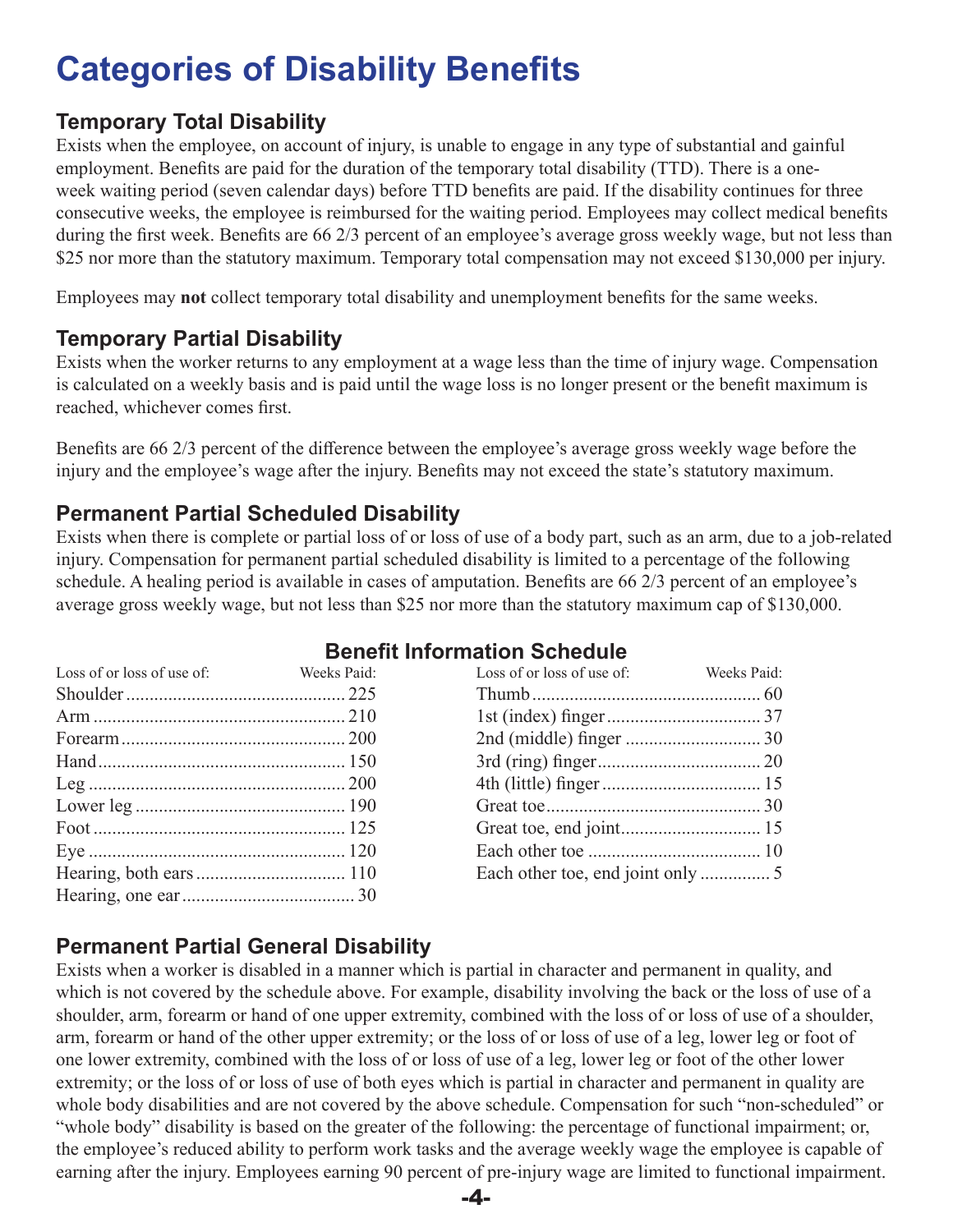# <span id="page-6-0"></span>**Categories of Disability Benefits**

### **Temporary Total Disability**

Exists when the employee, on account of injury, is unable to engage in any type of substantial and gainful employment. Benefits are paid for the duration of the temporary total disability (TTD). There is a oneweek waiting period (seven calendar days) before TTD benefits are paid. If the disability continues for three consecutive weeks, the employee is reimbursed for the waiting period. Employees may collect medical benefits during the first week. Benefits are 66 2/3 percent of an employee's average gross weekly wage, but not less than \$25 nor more than the statutory maximum. Temporary total compensation may not exceed \$130,000 per injury.

Employees may **not** collect temporary total disability and unemployment benefits for the same weeks.

### **Temporary Partial Disability**

Exists when the worker returns to any employment at a wage less than the time of injury wage. Compensation is calculated on a weekly basis and is paid until the wage loss is no longer present or the benefit maximum is reached, whichever comes first.

Benefits are 66 2/3 percent of the difference between the employee's average gross weekly wage before the injury and the employee's wage after the injury. Benefits may not exceed the state's statutory maximum.

#### **Permanent Partial Scheduled Disability**

Exists when there is complete or partial loss of or loss of use of a body part, such as an arm, due to a job-related injury. Compensation for permanent partial scheduled disability is limited to a percentage of the following schedule. A healing period is available in cases of amputation. Benefits are 66 2/3 percent of an employee's average gross weekly wage, but not less than \$25 nor more than the statutory maximum cap of \$130,000.

|                            |             | <b>Benefit Information Schedule</b> |            |
|----------------------------|-------------|-------------------------------------|------------|
| Loss of or loss of use of: | Weeks Paid: | Loss of or loss of use of:          | Weeks Paid |
|                            |             |                                     |            |

| LOSS OF OF IOSS OF USE OF THE TWEEKS FAIL. | LOSS OF OF 10SS OF USC OF THE TWO WORKS FAIL. |  |
|--------------------------------------------|-----------------------------------------------|--|
|                                            |                                               |  |
|                                            |                                               |  |
|                                            |                                               |  |
|                                            |                                               |  |
|                                            |                                               |  |
|                                            |                                               |  |
|                                            |                                               |  |
|                                            |                                               |  |
|                                            |                                               |  |
|                                            |                                               |  |
|                                            |                                               |  |

### **Permanent Partial General Disability**

Exists when a worker is disabled in a manner which is partial in character and permanent in quality, and which is not covered by the schedule above. For example, disability involving the back or the loss of use of a shoulder, arm, forearm or hand of one upper extremity, combined with the loss of or loss of use of a shoulder, arm, forearm or hand of the other upper extremity; or the loss of or loss of use of a leg, lower leg or foot of one lower extremity, combined with the loss of or loss of use of a leg, lower leg or foot of the other lower extremity; or the loss of or loss of use of both eyes which is partial in character and permanent in quality are whole body disabilities and are not covered by the above schedule. Compensation for such "non-scheduled" or "whole body" disability is based on the greater of the following: the percentage of functional impairment; or, the employee's reduced ability to perform work tasks and the average weekly wage the employee is capable of earning after the injury. Employees earning 90 percent of pre-injury wage are limited to functional impairment.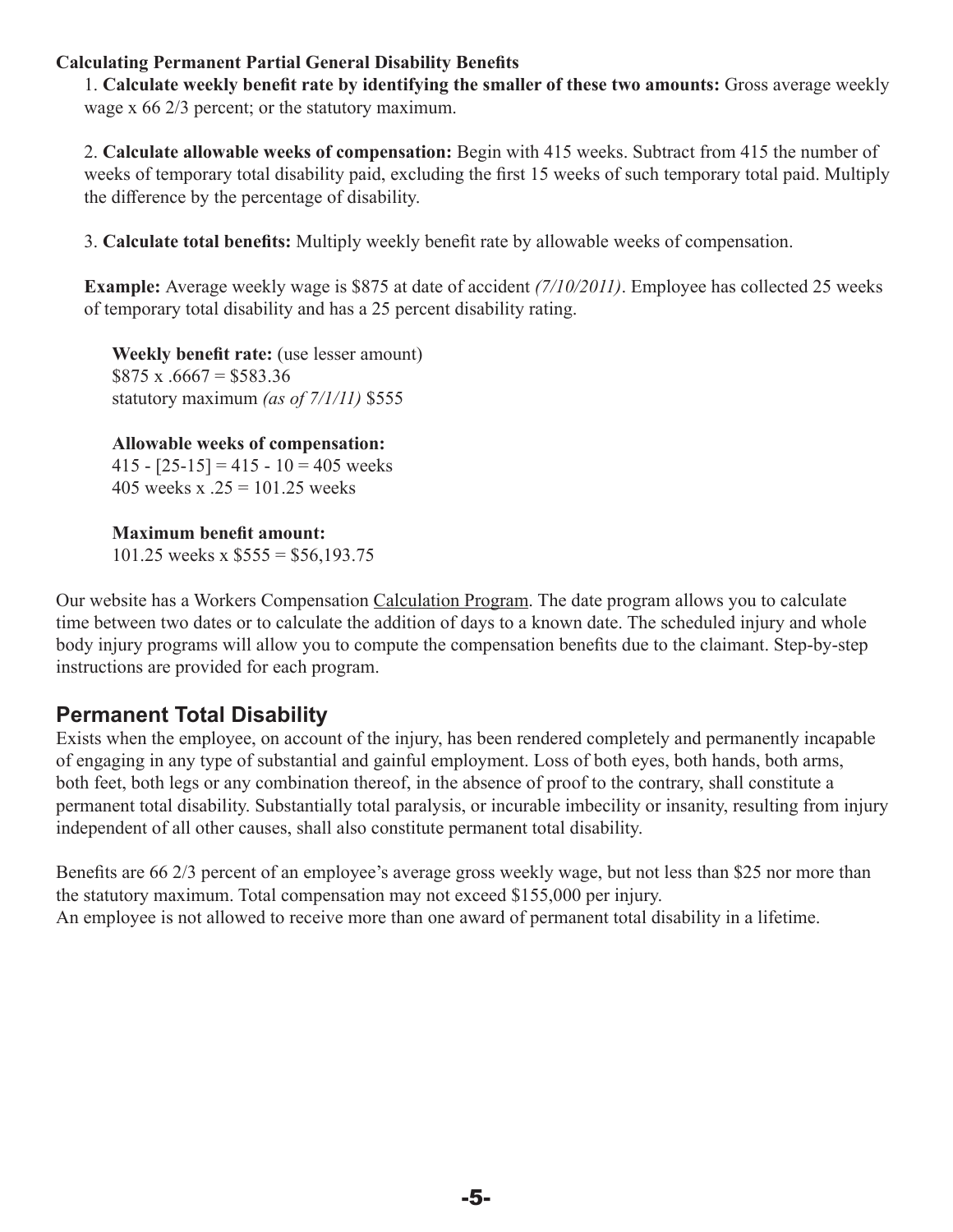#### <span id="page-7-0"></span>**Calculating Permanent Partial General Disability Benefits**

1. **Calculate weekly benefit rate by identifying the smaller of these two amounts:** Gross average weekly wage x 66 2/3 percent; or the statutory maximum.

2. **Calculate allowable weeks of compensation:** Begin with 415 weeks. Subtract from 415 the number of weeks of temporary total disability paid, excluding the first 15 weeks of such temporary total paid. Multiply the difference by the percentage of disability.

3. **Calculate total benefits:** Multiply weekly benefit rate by allowable weeks of compensation.

**Example:** Average weekly wage is \$875 at date of accident *(7/10/2011)*. Employee has collected 25 weeks of temporary total disability and has a 25 percent disability rating.

**Weekly benefit rate:** (use lesser amount)  $$875 x .6667 = $583.36$ statutory maximum *(as of 7/1/11)* \$555

**Allowable weeks of compensation:**  415 -  $[25-15] = 415 - 10 = 405$  weeks 405 weeks x  $.25 = 101.25$  weeks

**Maximum benefit amount:**  101.25 weeks x  $$555 = $56,193.75$ 

Our website has a Workers Compensation [Calculation Program.](https://www.dol.ks.gov/WC/injured-workers/guide-to-benefits/calculations) The date program allows you to calculate time between two dates or to calculate the addition of days to a known date. The scheduled injury and whole body injury programs will allow you to compute the compensation benefits due to the claimant. Step-by-step instructions are provided for each program.

#### **Permanent Total Disability**

Exists when the employee, on account of the injury, has been rendered completely and permanently incapable of engaging in any type of substantial and gainful employment. Loss of both eyes, both hands, both arms, both feet, both legs or any combination thereof, in the absence of proof to the contrary, shall constitute a permanent total disability. Substantially total paralysis, or incurable imbecility or insanity, resulting from injury independent of all other causes, shall also constitute permanent total disability.

Benefits are 66 2/3 percent of an employee's average gross weekly wage, but not less than \$25 nor more than the statutory maximum. Total compensation may not exceed \$155,000 per injury. An employee is not allowed to receive more than one award of permanent total disability in a lifetime.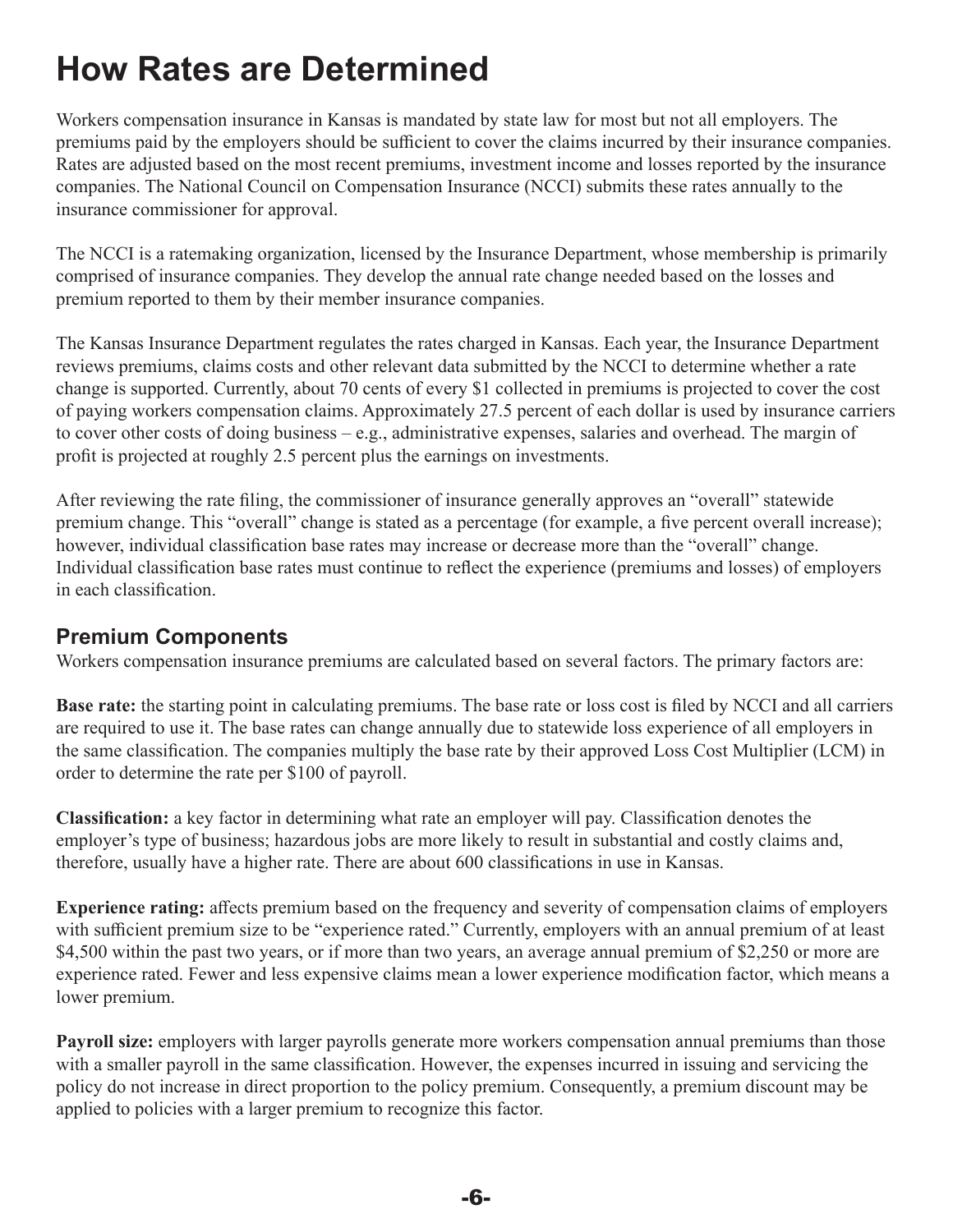# <span id="page-8-0"></span>**How Rates are Determined**

Workers compensation insurance in Kansas is mandated by state law for most but not all employers. The premiums paid by the employers should be sufficient to cover the claims incurred by their insurance companies. Rates are adjusted based on the most recent premiums, investment income and losses reported by the insurance companies. The National Council on Compensation Insurance (NCCI) submits these rates annually to the insurance commissioner for approval.

The NCCI is a ratemaking organization, licensed by the Insurance Department, whose membership is primarily comprised of insurance companies. They develop the annual rate change needed based on the losses and premium reported to them by their member insurance companies.

The Kansas Insurance Department regulates the rates charged in Kansas. Each year, the Insurance Department reviews premiums, claims costs and other relevant data submitted by the NCCI to determine whether a rate change is supported. Currently, about 70 cents of every \$1 collected in premiums is projected to cover the cost of paying workers compensation claims. Approximately 27.5 percent of each dollar is used by insurance carriers to cover other costs of doing business – e.g., administrative expenses, salaries and overhead. The margin of profit is projected at roughly 2.5 percent plus the earnings on investments.

After reviewing the rate filing, the commissioner of insurance generally approves an "overall" statewide premium change. This "overall" change is stated as a percentage (for example, a five percent overall increase); however, individual classification base rates may increase or decrease more than the "overall" change. Individual classification base rates must continue to reflect the experience (premiums and losses) of employers in each classification.

#### **Premium Components**

Workers compensation insurance premiums are calculated based on several factors. The primary factors are:

**Base rate:** the starting point in calculating premiums. The base rate or loss cost is filed by NCCI and all carriers are required to use it. The base rates can change annually due to statewide loss experience of all employers in the same classification. The companies multiply the base rate by their approved Loss Cost Multiplier (LCM) in order to determine the rate per \$100 of payroll.

**Classification:** a key factor in determining what rate an employer will pay. Classification denotes the employer's type of business; hazardous jobs are more likely to result in substantial and costly claims and, therefore, usually have a higher rate. There are about 600 classifications in use in Kansas.

**Experience rating:** affects premium based on the frequency and severity of compensation claims of employers with sufficient premium size to be "experience rated." Currently, employers with an annual premium of at least \$4,500 within the past two years, or if more than two years, an average annual premium of \$2,250 or more are experience rated. Fewer and less expensive claims mean a lower experience modification factor, which means a lower premium.

**Payroll size:** employers with larger payrolls generate more workers compensation annual premiums than those with a smaller payroll in the same classification. However, the expenses incurred in issuing and servicing the policy do not increase in direct proportion to the policy premium. Consequently, a premium discount may be applied to policies with a larger premium to recognize this factor.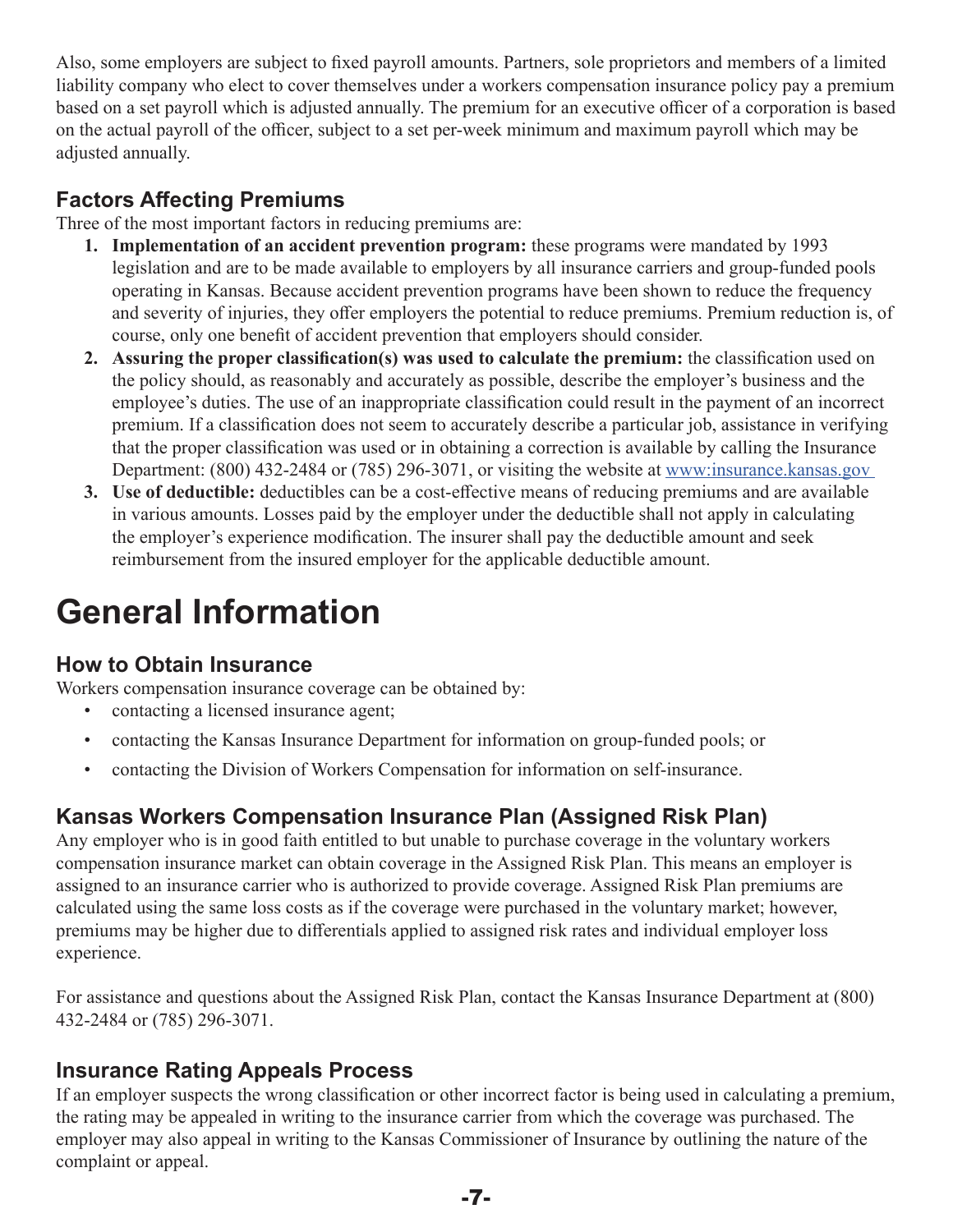<span id="page-9-0"></span>Also, some employers are subject to fixed payroll amounts. Partners, sole proprietors and members of a limited liability company who elect to cover themselves under a workers compensation insurance policy pay a premium based on a set payroll which is adjusted annually. The premium for an executive officer of a corporation is based on the actual payroll of the officer, subject to a set per-week minimum and maximum payroll which may be adjusted annually.

### **Factors Affecting Premiums**

Three of the most important factors in reducing premiums are:

- **1. Implementation of an accident prevention program:** these programs were mandated by 1993 legislation and are to be made available to employers by all insurance carriers and group-funded pools operating in Kansas. Because accident prevention programs have been shown to reduce the frequency and severity of injuries, they offer employers the potential to reduce premiums. Premium reduction is, of course, only one benefit of accident prevention that employers should consider.
- **2. Assuring the proper classification(s) was used to calculate the premium:** the classification used on the policy should, as reasonably and accurately as possible, describe the employer's business and the employee's duties. The use of an inappropriate classification could result in the payment of an incorrect premium. If a classification does not seem to accurately describe a particular job, assistance in verifying that the proper classification was used or in obtaining a correction is available by calling the Insurance Department: (800) 432-2484 or (785) 296-3071, or visiting the website at [www:insurance.kansas.gov](https://insurance.kansas.gov)
- **3. Use of deductible:** deductibles can be a cost-effective means of reducing premiums and are available in various amounts. Losses paid by the employer under the deductible shall not apply in calculating the employer's experience modification. The insurer shall pay the deductible amount and seek reimbursement from the insured employer for the applicable deductible amount.

# **General Information**

#### **How to Obtain Insurance**

Workers compensation insurance coverage can be obtained by:

- contacting a licensed insurance agent;
- contacting the Kansas Insurance Department for information on group-funded pools; or
- contacting the Division of Workers Compensation for information on self-insurance.

#### **Kansas Workers Compensation Insurance Plan (Assigned Risk Plan)**

Any employer who is in good faith entitled to but unable to purchase coverage in the voluntary workers compensation insurance market can obtain coverage in the Assigned Risk Plan. This means an employer is assigned to an insurance carrier who is authorized to provide coverage. Assigned Risk Plan premiums are calculated using the same loss costs as if the coverage were purchased in the voluntary market; however, premiums may be higher due to differentials applied to assigned risk rates and individual employer loss experience.

For assistance and questions about the Assigned Risk Plan, contact the Kansas Insurance Department at (800) 432-2484 or (785) 296-3071.

#### **Insurance Rating Appeals Process**

If an employer suspects the wrong classification or other incorrect factor is being used in calculating a premium, the rating may be appealed in writing to the insurance carrier from which the coverage was purchased. The employer may also appeal in writing to the Kansas Commissioner of Insurance by outlining the nature of the complaint or appeal.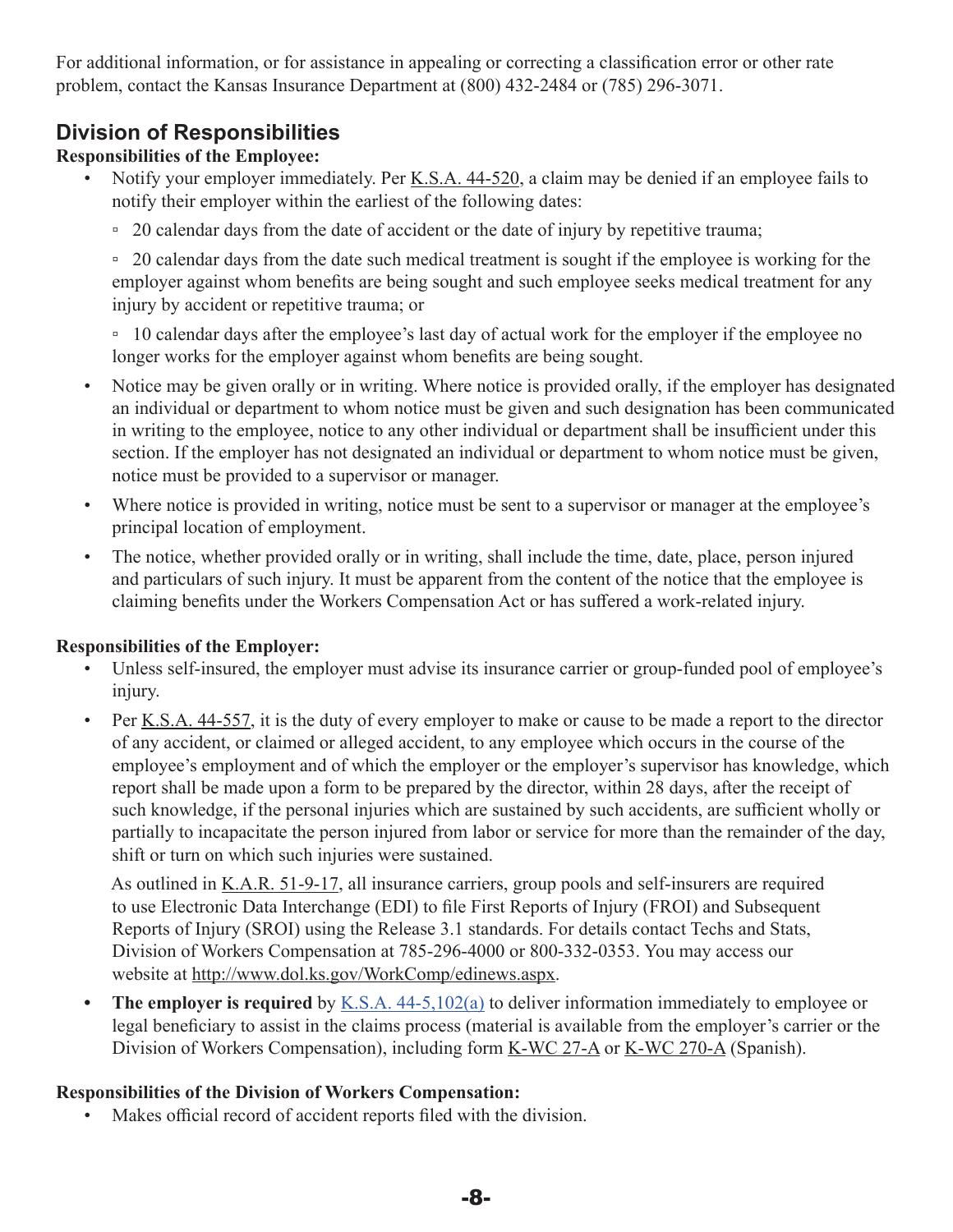<span id="page-10-0"></span>For additional information, or for assistance in appealing or correcting a classification error or other rate problem, contact the Kansas Insurance Department at (800) 432-2484 or (785) 296-3071.

### **Division of Responsibilities**

#### **Responsibilities of the Employee:**

- Notify your employer immediately. Per [K.S.A. 44-520,](http://www.kslegislature.org/li/b2015_16/statute/044_000_0000_chapter/044_005_0000_article/044_005_0020_section/044_005_0020_k/) a claim may be denied if an employee fails to notify their employer within the earliest of the following dates:
	- □ 20 calendar days from the date of accident or the date of injury by repetitive trauma;

▫ 20 calendar days from the date such medical treatment is sought if the employee is working for the employer against whom benefits are being sought and such employee seeks medical treatment for any injury by accident or repetitive trauma; or

□ 10 calendar days after the employee's last day of actual work for the employer if the employee no longer works for the employer against whom benefits are being sought.

- Notice may be given orally or in writing. Where notice is provided orally, if the employer has designated an individual or department to whom notice must be given and such designation has been communicated in writing to the employee, notice to any other individual or department shall be insufficient under this section. If the employer has not designated an individual or department to whom notice must be given, notice must be provided to a supervisor or manager.
- Where notice is provided in writing, notice must be sent to a supervisor or manager at the employee's principal location of employment.
- The notice, whether provided orally or in writing, shall include the time, date, place, person injured and particulars of such injury. It must be apparent from the content of the notice that the employee is claiming benefits under the Workers Compensation Act or has suffered a work-related injury.

#### **Responsibilities of the Employer:**

- Unless self-insured, the employer must advise its insurance carrier or group-funded pool of employee's injury.
- Per [K.S.A. 44-557,](http://www.kslegislature.org/li/b2015_16/statute/044_000_0000_chapter/044_005_0000_article/044_005_0057_section/044_005_0057_k/) it is the duty of every employer to make or cause to be made a report to the director of any accident, or claimed or alleged accident, to any employee which occurs in the course of the employee's employment and of which the employer or the employer's supervisor has knowledge, which report shall be made upon a form to be prepared by the director, within 28 days, after the receipt of such knowledge, if the personal injuries which are sustained by such accidents, are sufficient wholly or partially to incapacitate the person injured from labor or service for more than the remainder of the day, shift or turn on which such injuries were sustained.

 As outlined in [K.A.R. 51-9-17,](http://www.kssos.org/Pubs/pubs_kar.aspx) all insurance carriers, group pools and self-insurers are required to use Electronic Data Interchange (EDI) to file First Reports of Injury (FROI) and Subsequent Reports of Injury (SROI) using the Release 3.1 standards. For details contact Techs and Stats, Division of Workers Compensation at 785-296-4000 or 800-332-0353. You may access our website at [http://www.dol.ks.gov/WorkComp/edinews.aspx](https://www.dol.ks.gov/WC/insurer).

**The employer is required** by [K.S.A. 44-5,102\(a\)](http://kslegislature.org/li_2014/b2013_14/statute/044_000_0000_chapter/044_005_0000_article/044_005_0102_section/044_005_0102_k/) to deliver information immediately to employee or legal beneficiary to assist in the claims process (material is available from the employer's carrier or the Division of Workers Compensation), including form [K-WC 27-A](https://www.dol.ks.gov/docs/default-source/workers-compensation-documents/forms-and-publications/employers-and-employees/k-wc-27-a.pdf?sfvrsn=18c3b71f_11) or [K-WC 270-A](https://www.dol.ks.gov/docs/default-source/workers-compensation-documents/forms-and-publications/employers-and-employees/k-wc-270-a.pdf?sfvrsn=9806b21f_11) (Spanish).

#### **Responsibilities of the Division of Workers Compensation:**

Makes official record of accident reports filed with the division.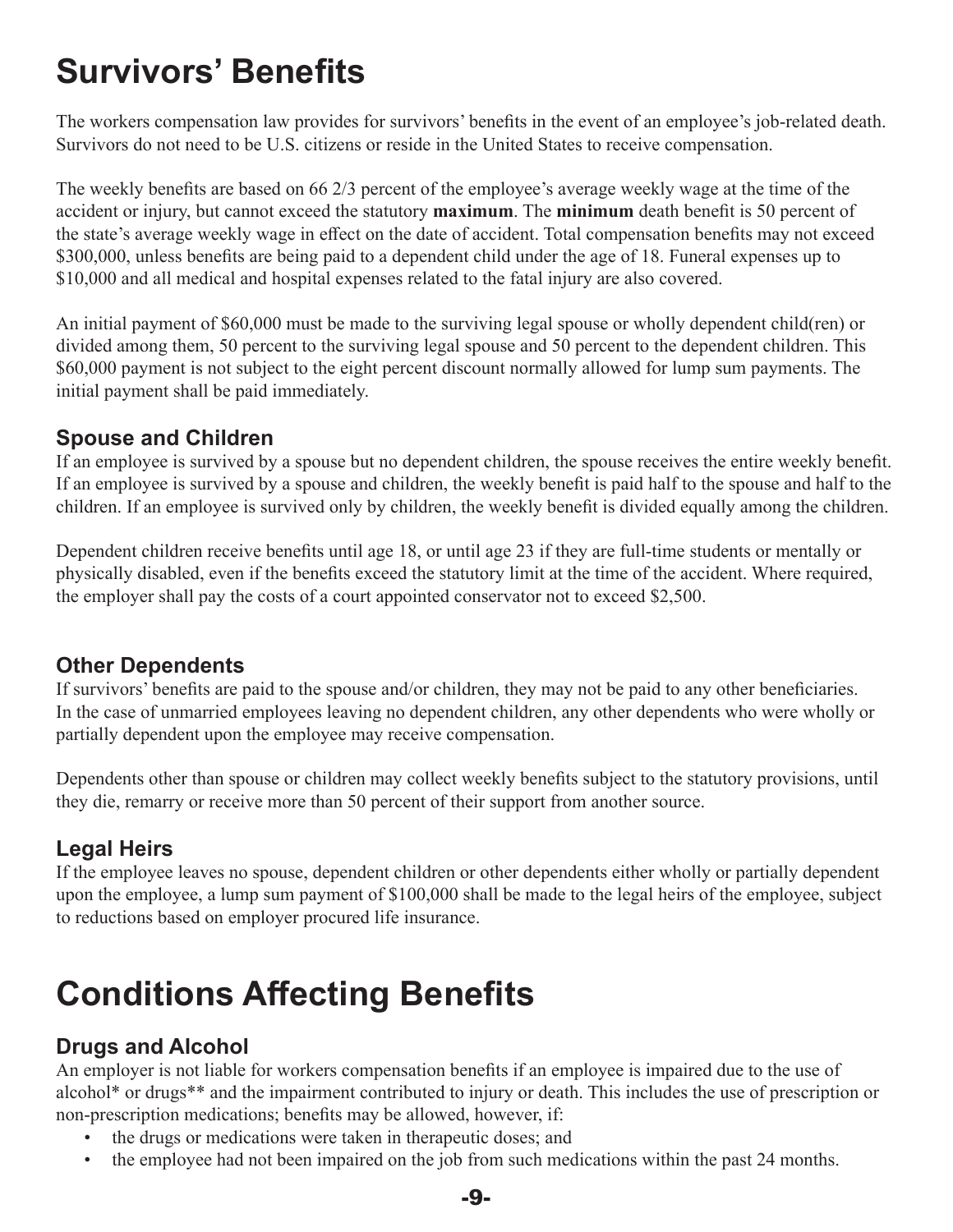# <span id="page-11-0"></span>**Survivors' Benefits**

The workers compensation law provides for survivors' benefits in the event of an employee's job-related death. Survivors do not need to be U.S. citizens or reside in the United States to receive compensation.

The weekly benefits are based on 66 2/3 percent of the employee's average weekly wage at the time of the accident or injury, but cannot exceed the statutory **maximum**. The **minimum** death benefit is 50 percent of the state's average weekly wage in effect on the date of accident. Total compensation benefits may not exceed \$300,000, unless benefits are being paid to a dependent child under the age of 18. Funeral expenses up to \$10,000 and all medical and hospital expenses related to the fatal injury are also covered.

An initial payment of \$60,000 must be made to the surviving legal spouse or wholly dependent child(ren) or divided among them, 50 percent to the surviving legal spouse and 50 percent to the dependent children. This \$60,000 payment is not subject to the eight percent discount normally allowed for lump sum payments. The initial payment shall be paid immediately.

#### **Spouse and Children**

If an employee is survived by a spouse but no dependent children, the spouse receives the entire weekly benefit. If an employee is survived by a spouse and children, the weekly benefit is paid half to the spouse and half to the children. If an employee is survived only by children, the weekly benefit is divided equally among the children.

Dependent children receive benefits until age 18, or until age 23 if they are full-time students or mentally or physically disabled, even if the benefits exceed the statutory limit at the time of the accident. Where required, the employer shall pay the costs of a court appointed conservator not to exceed \$2,500.

#### **Other Dependents**

If survivors' benefits are paid to the spouse and/or children, they may not be paid to any other beneficiaries. In the case of unmarried employees leaving no dependent children, any other dependents who were wholly or partially dependent upon the employee may receive compensation.

Dependents other than spouse or children may collect weekly benefits subject to the statutory provisions, until they die, remarry or receive more than 50 percent of their support from another source.

### **Legal Heirs**

If the employee leaves no spouse, dependent children or other dependents either wholly or partially dependent upon the employee, a lump sum payment of \$100,000 shall be made to the legal heirs of the employee, subject to reductions based on employer procured life insurance.

# **Conditions Affecting Benefits**

### **Drugs and Alcohol**

An employer is not liable for workers compensation benefits if an employee is impaired due to the use of alcohol\* or drugs\*\* and the impairment contributed to injury or death. This includes the use of prescription or non-prescription medications; benefits may be allowed, however, if:

- the drugs or medications were taken in therapeutic doses; and
- the employee had not been impaired on the job from such medications within the past 24 months.

-9-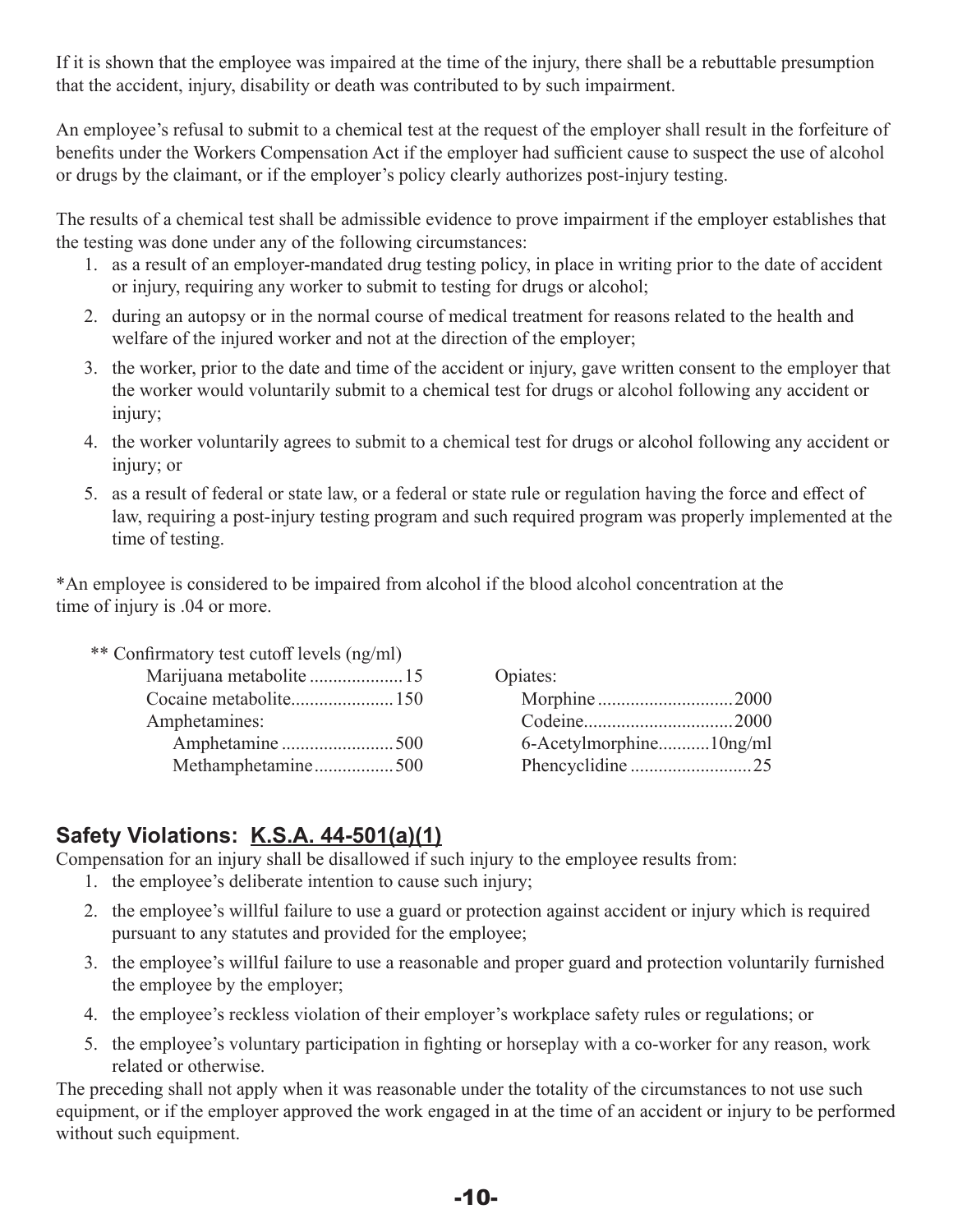If it is shown that the employee was impaired at the time of the injury, there shall be a rebuttable presumption that the accident, injury, disability or death was contributed to by such impairment.

An employee's refusal to submit to a chemical test at the request of the employer shall result in the forfeiture of benefits under the Workers Compensation Act if the employer had sufficient cause to suspect the use of alcohol or drugs by the claimant, or if the employer's policy clearly authorizes post-injury testing.

The results of a chemical test shall be admissible evidence to prove impairment if the employer establishes that the testing was done under any of the following circumstances:

- 1. as a result of an employer-mandated drug testing policy, in place in writing prior to the date of accident or injury, requiring any worker to submit to testing for drugs or alcohol;
- 2. during an autopsy or in the normal course of medical treatment for reasons related to the health and welfare of the injured worker and not at the direction of the employer;
- 3. the worker, prior to the date and time of the accident or injury, gave written consent to the employer that the worker would voluntarily submit to a chemical test for drugs or alcohol following any accident or injury;
- 4. the worker voluntarily agrees to submit to a chemical test for drugs or alcohol following any accident or injury; or
- 5. as a result of federal or state law, or a federal or state rule or regulation having the force and effect of law, requiring a post-injury testing program and such required program was properly implemented at the time of testing.

\*An employee is considered to be impaired from alcohol if the blood alcohol concentration at the time of injury is .04 or more.

| ** Confirmatory test cutoff levels (ng/ml) |                         |
|--------------------------------------------|-------------------------|
|                                            | Opiates:                |
|                                            |                         |
| Amphetamines:                              |                         |
|                                            | 6-Acetylmorphine10ng/ml |
| Methamphetamine500                         |                         |

### **Safety Violations: [K.S.A. 44-501\(a\)\(1\)](http://kslegislature.org/li/statute/044_000_0000_chapter/044_005_0000_article/044_005_0001_section/044_005_0001_k/)**

Compensation for an injury shall be disallowed if such injury to the employee results from:

- 1. the employee's deliberate intention to cause such injury;
- 2. the employee's willful failure to use a guard or protection against accident or injury which is required pursuant to any statutes and provided for the employee;
- 3. the employee's willful failure to use a reasonable and proper guard and protection voluntarily furnished the employee by the employer;
- 4. the employee's reckless violation of their employer's workplace safety rules or regulations; or
- 5. the employee's voluntary participation in fighting or horseplay with a co-worker for any reason, work related or otherwise.

The preceding shall not apply when it was reasonable under the totality of the circumstances to not use such equipment, or if the employer approved the work engaged in at the time of an accident or injury to be performed without such equipment.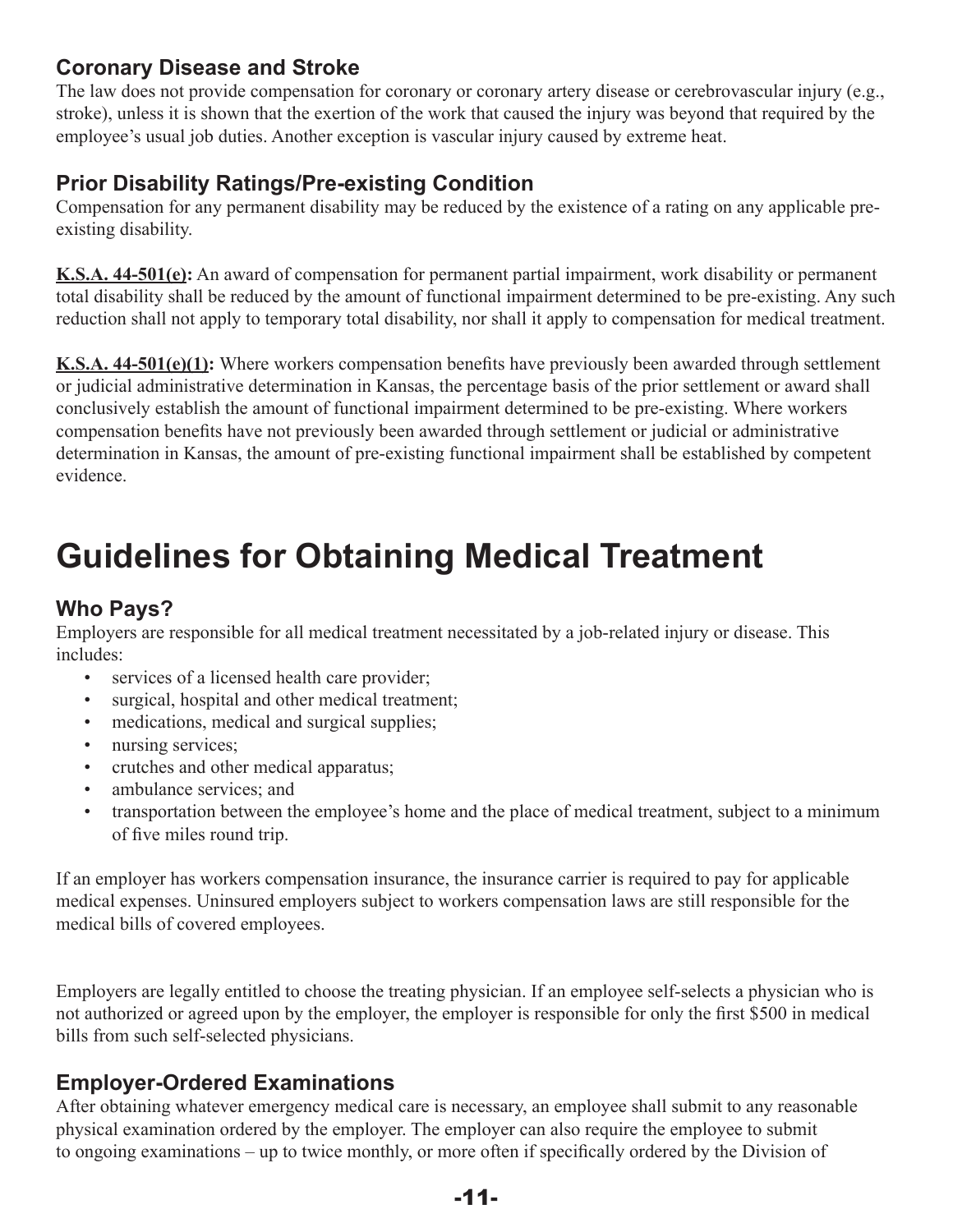### <span id="page-13-0"></span>**Coronary Disease and Stroke**

The law does not provide compensation for coronary or coronary artery disease or cerebrovascular injury (e.g., stroke), unless it is shown that the exertion of the work that caused the injury was beyond that required by the employee's usual job duties. Another exception is vascular injury caused by extreme heat.

### **Prior Disability Ratings/Pre-existing Condition**

Compensation for any permanent disability may be reduced by the existence of a rating on any applicable preexisting disability.

**[K.S.A. 44-501\(e\):](http://kslegislature.org/li/statute/044_000_0000_chapter/044_005_0000_article/044_005_0001_section/044_005_0001_k/)** An award of compensation for permanent partial impairment, work disability or permanent total disability shall be reduced by the amount of functional impairment determined to be pre-existing. Any such reduction shall not apply to temporary total disability, nor shall it apply to compensation for medical treatment.

**[K.S.A. 44-501\(e\)\(1\):](http://kslegislature.org/li/statute/044_000_0000_chapter/044_005_0000_article/044_005_0001_section/044_005_0001_k/)** Where workers compensation benefits have previously been awarded through settlement or judicial administrative determination in Kansas, the percentage basis of the prior settlement or award shall conclusively establish the amount of functional impairment determined to be pre-existing. Where workers compensation benefits have not previously been awarded through settlement or judicial or administrative determination in Kansas, the amount of pre-existing functional impairment shall be established by competent evidence.

# **Guidelines for Obtaining Medical Treatment**

### **Who Pays?**

Employers are responsible for all medical treatment necessitated by a job-related injury or disease. This includes:

- services of a licensed health care provider;
- surgical, hospital and other medical treatment;
- medications, medical and surgical supplies;
- nursing services;
- crutches and other medical apparatus;
- ambulance services: and
- transportation between the employee's home and the place of medical treatment, subject to a minimum of five miles round trip.

If an employer has workers compensation insurance, the insurance carrier is required to pay for applicable medical expenses. Uninsured employers subject to workers compensation laws are still responsible for the medical bills of covered employees.

Employers are legally entitled to choose the treating physician. If an employee self-selects a physician who is not authorized or agreed upon by the employer, the employer is responsible for only the first \$500 in medical bills from such self-selected physicians.

#### **Employer-Ordered Examinations**

After obtaining whatever emergency medical care is necessary, an employee shall submit to any reasonable physical examination ordered by the employer. The employer can also require the employee to submit to ongoing examinations – up to twice monthly, or more often if specifically ordered by the Division of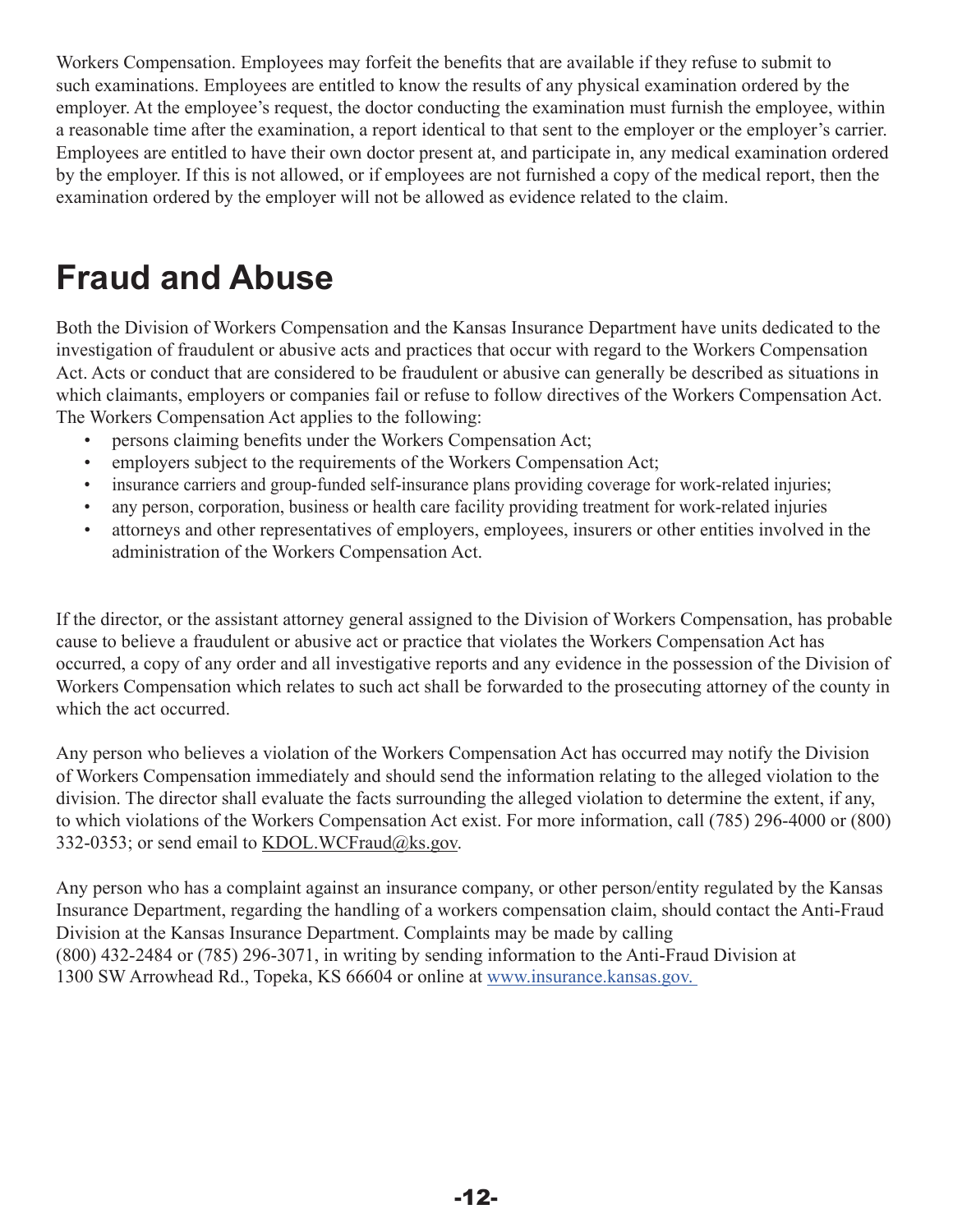<span id="page-14-0"></span>Workers Compensation. Employees may forfeit the benefits that are available if they refuse to submit to such examinations. Employees are entitled to know the results of any physical examination ordered by the employer. At the employee's request, the doctor conducting the examination must furnish the employee, within a reasonable time after the examination, a report identical to that sent to the employer or the employer's carrier. Employees are entitled to have their own doctor present at, and participate in, any medical examination ordered by the employer. If this is not allowed, or if employees are not furnished a copy of the medical report, then the examination ordered by the employer will not be allowed as evidence related to the claim.

### **Fraud and Abuse**

Both the Division of Workers Compensation and the Kansas Insurance Department have units dedicated to the investigation of fraudulent or abusive acts and practices that occur with regard to the Workers Compensation Act. Acts or conduct that are considered to be fraudulent or abusive can generally be described as situations in which claimants, employers or companies fail or refuse to follow directives of the Workers Compensation Act. The Workers Compensation Act applies to the following:

- persons claiming benefits under the Workers Compensation Act;
- employers subject to the requirements of the Workers Compensation Act;
- insurance carriers and group-funded self-insurance plans providing coverage for work-related injuries;
- any person, corporation, business or health care facility providing treatment for work-related injuries
- attorneys and other representatives of employers, employees, insurers or other entities involved in the administration of the Workers Compensation Act.

If the director, or the assistant attorney general assigned to the Division of Workers Compensation, has probable cause to believe a fraudulent or abusive act or practice that violates the Workers Compensation Act has occurred, a copy of any order and all investigative reports and any evidence in the possession of the Division of Workers Compensation which relates to such act shall be forwarded to the prosecuting attorney of the county in which the act occurred.

Any person who believes a violation of the Workers Compensation Act has occurred may notify the Division of Workers Compensation immediately and should send the information relating to the alleged violation to the division. The director shall evaluate the facts surrounding the alleged violation to determine the extent, if any, to which violations of the Workers Compensation Act exist. For more information, call (785) 296-4000 or (800) 332-0353; or send email to KDOL.WCFraud@ks.gov.

Any person who has a complaint against an insurance company, or other person/entity regulated by the Kansas Insurance Department, regarding the handling of a workers compensation claim, should contact the Anti-Fraud Division at the Kansas Insurance Department. Complaints may be made by calling (800) 432-2484 or (785) 296-3071, in writing by sending [information to the Anti-Fraud](https://insurance.kansas.gov) Division at 1300 SW Arrowhead Rd., Topeka, KS 66604 or online at www.insurance.kansas.gov.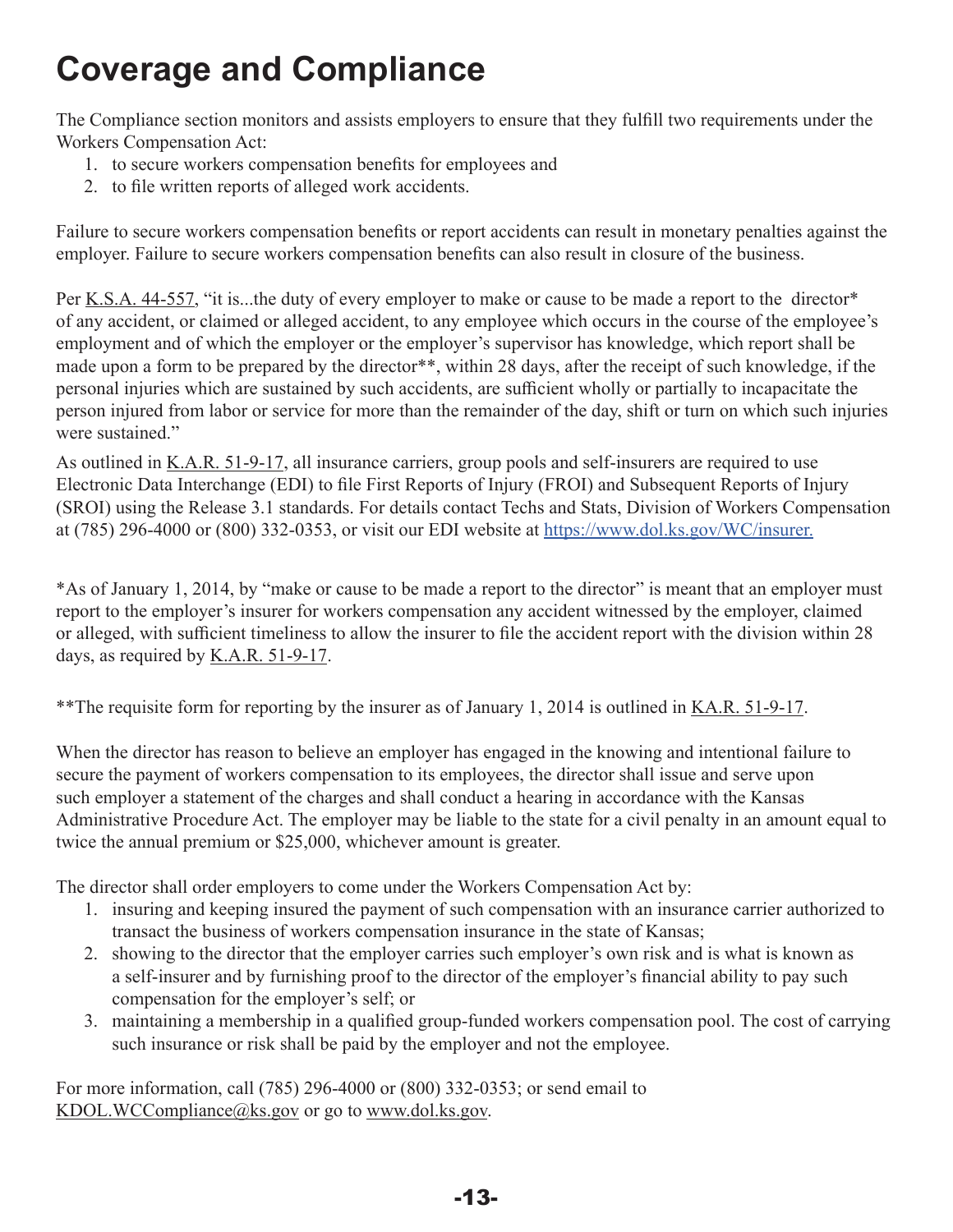# **Coverage and Compliance**

The Compliance section monitors and assists employers to ensure that they fulfill two requirements under the Workers Compensation Act:

- 1. to secure workers compensation benefits for employees and
- 2. to file written reports of alleged work accidents.

Failure to secure workers compensation benefits or report accidents can result in monetary penalties against the employer. Failure to secure workers compensation benefits can also result in closure of the business.

Per [K.S.A. 44-557,](http://www.kslegislature.org/li/b2015_16/statute/044_000_0000_chapter/044_005_0000_article/044_005_0057_section/044_005_0057_k/) "it is...the duty of every employer to make or cause to be made a report to the director\* of any accident, or claimed or alleged accident, to any employee which occurs in the course of the employee's employment and of which the employer or the employer's supervisor has knowledge, which report shall be made upon a form to be prepared by the director<sup>\*\*</sup>, within 28 days, after the receipt of such knowledge, if the personal injuries which are sustained by such accidents, are sufficient wholly or partially to incapacitate the person injured from labor or service for more than the remainder of the day, shift or turn on which such injuries were sustained."

As outlined in [K.A.R. 51-9-17](http://www.kssos.org/Pubs/pubs_kar.aspx), all insurance carriers, group pools and self-insurers are required to use Electronic Data Interchange (EDI) to file First Reports of Injury (FROI) and Subsequent Reports of Injury (SROI) using the Release 3.1 standards. For details contact Techs and Stats, Division of Workers Compensation at (785) 296-4000 or (800) 332-0353, or visit our EDI website at https[://www.dol.ks.gov/WC/insurer.](https://www.dol.ks.gov/WC/insurer)

\*As of January 1, 2014, by "make or cause to be made a report to the director" is meant that an employer must report to the employer's insurer for workers compensation any accident witnessed by the employer, claimed or alleged, with sufficient timeliness to allow the insurer to file the accident report with the division within 28 days, as required by [K.A.R. 51-9-17](http://www.kssos.org/Pubs/pubs_kar.aspx).

\*\*The requisite form for reporting by the insurer as of January 1, 2014 is outlined in <u>KA.R. 51-9-17</u>.

When the director has reason to believe an employer has engaged in the knowing and intentional failure to secure the payment of workers compensation to its employees, the director shall issue and serve upon such employer a statement of the charges and shall conduct a hearing in accordance with the Kansas Administrative Procedure Act. The employer may be liable to the state for a civil penalty in an amount equal to twice the annual premium or \$25,000, whichever amount is greater.

The director shall order employers to come under the Workers Compensation Act by:

- 1. insuring and keeping insured the payment of such compensation with an insurance carrier authorized to transact the business of workers compensation insurance in the state of Kansas;
- 2. showing to the director that the employer carries such employer's own risk and is what is known as a self-insurer and by furnishing proof to the director of the employer's financial ability to pay such compensation for the employer's self; or
- 3. maintaining a membership in a qualified group-funded workers compensation pool. The cost of carrying such insurance or risk shall be paid by the employer and not the employee.

For more information, call (785) 296-4000 or (800) 332-0353; or send email to KDOL.WCCompliance@ks.gov or go to [www.dol.ks.gov](http://www.dol.ks.gov/WorkComp/Default.aspx).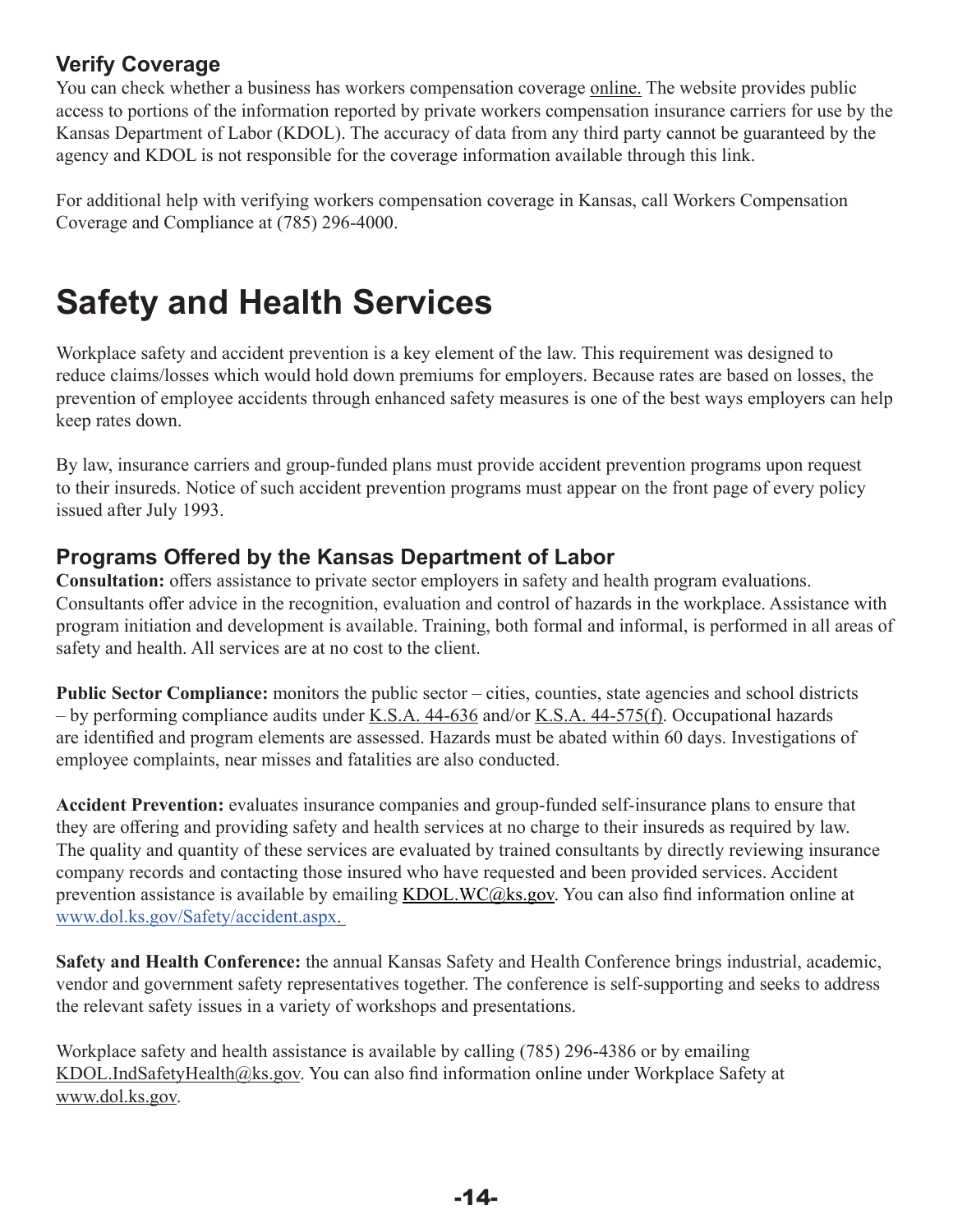#### <span id="page-16-0"></span>**Verify Coverage**

You can check whether a business has workers compensation coverage [online](https://www.dol.ks.gov/WC/employers/coverage-and-compliance-section/verify-coverage). The website provides public access to portions of the information reported by private workers compensation insurance carriers for use by the Kansas Department of Labor (KDOL). The accuracy of data from any third party cannot be guaranteed by the agency and KDOL is not responsible for the coverage information available through this link.

For additional help with verifying workers compensation coverage in Kansas, call Workers Compensation Coverage and Compliance at (785) 296-4000.

# **Safety and Health Services**

Workplace safety and accident prevention is a key element of the law. This requirement was designed to reduce claims/losses which would hold down premiums for employers. Because rates are based on losses, the prevention of employee accidents through enhanced safety measures is one of the best ways employers can help keep rates down.

By law, insurance carriers and group-funded plans must provide accident prevention programs upon request to their insureds. Notice of such accident prevention programs must appear on the front page of every policy issued after July 1993.

#### **Programs Offered by the Kansas Department of Labor**

**Consultation:** offers assistance to private sector employers in safety and health program evaluations. Consultants offer advice in the recognition, evaluation and control of hazards in the workplace. Assistance with program initiation and development is available. Training, both formal and informal, is performed in all areas of safety and health. All services are at no cost to the client.

**Public Sector Compliance:** monitors the public sector – cities, counties, state agencies and school districts – by performing compliance audits under [K.S.A. 44-636](http://www.kslegislature.org/li/b2015_16/statute/044_000_0000_chapter/044_006_0000_article/044_006_0036_section/044_006_0036_k/) and/or [K.S.A. 44-575\(f\).](http://www.kslegislature.org/li/b2015_16/statute/044_000_0000_chapter/044_005_0000_article/044_005_0075_section/044_005_0075_k/) Occupational hazards are identified and program elements are assessed. Hazards must be abated within 60 days. Investigations of employee complaints, near misses and fatalities are also conducted.

**Accident Prevention:** evaluates insurance companies and group-funded self-insurance plans to ensure that they are offering and providing safety and health services at no charge to their insureds as required by law. The quality and quantity of these services are evaluated by trained consultants by directly reviewing insurance company records and contacting those insured who have requested and been provided services. Accident prevention assistance is available by emailing KDOL.WC@ks.gov. You can also find information online at [www.dol.ks.gov/Safety/accident.aspx](https://www.dol.ks.gov/ish/services/public-sector).

**Safety and Health Conference:** the annual Kansas Safety and Health Conference brings industrial, academic, vendor and government safety representatives together. The conference is self-supporting and seeks to address the relevant safety issues in a variety of workshops and presentations.

Workplace safety and health assistance is available by calling (785) 296-4386 or by emailing [KDOL.IndSafetyHealth@ks.gov.](mailto:indsafetyhealth%40dol.ks.gov?subject=) You can also find information online under Workplace Safety at [www.dol.ks.gov](http://www.dol.ks.gov/Safety/Default.aspx).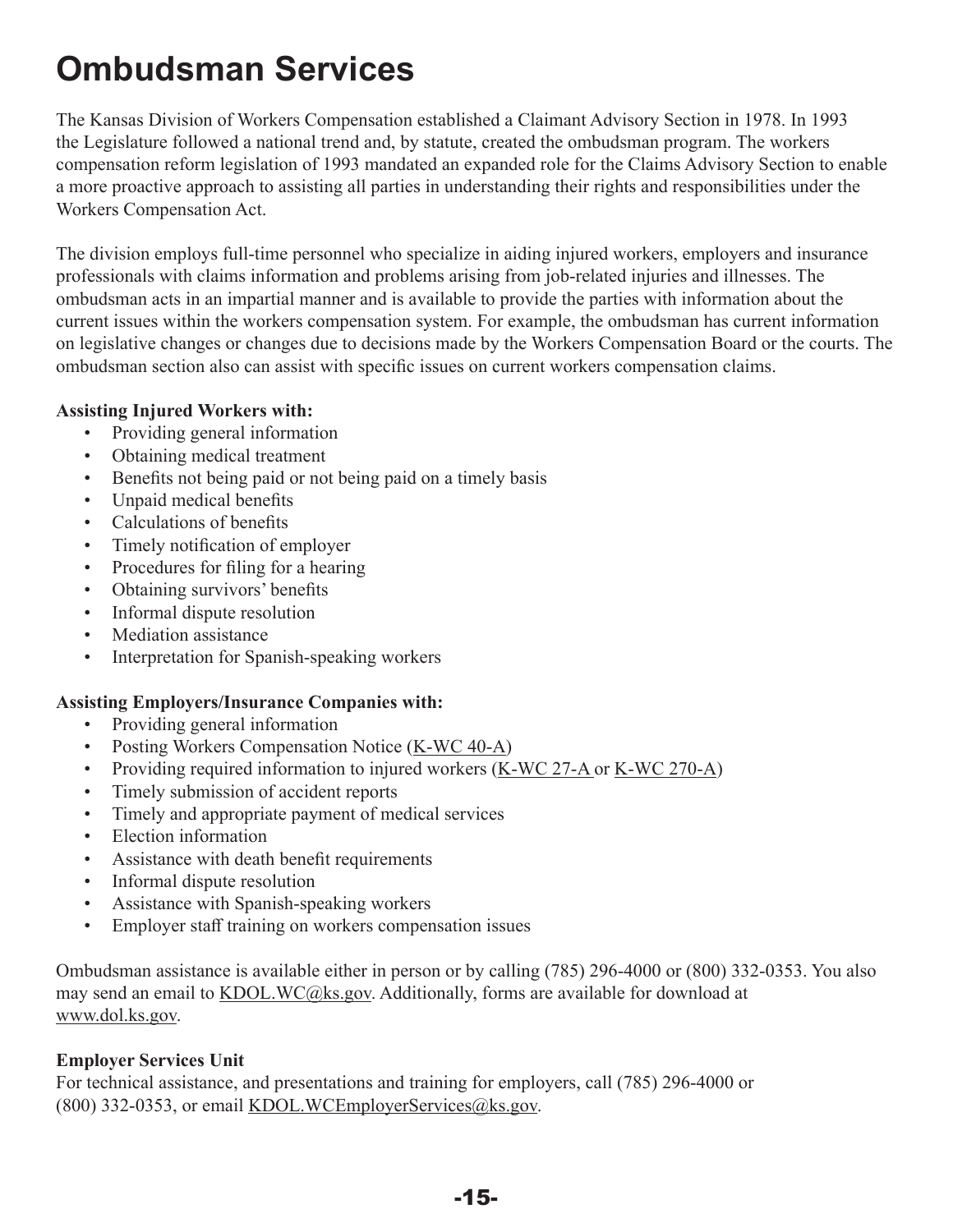# <span id="page-17-0"></span>**Ombudsman Services**

The Kansas Division of Workers Compensation established a Claimant Advisory Section in 1978. In 1993 the Legislature followed a national trend and, by statute, created the ombudsman program. The workers compensation reform legislation of 1993 mandated an expanded role for the Claims Advisory Section to enable a more proactive approach to assisting all parties in understanding their rights and responsibilities under the Workers Compensation Act.

The division employs full-time personnel who specialize in aiding injured workers, employers and insurance professionals with claims information and problems arising from job-related injuries and illnesses. The ombudsman acts in an impartial manner and is available to provide the parties with information about the current issues within the workers compensation system. For example, the ombudsman has current information on legislative changes or changes due to decisions made by the Workers Compensation Board or the courts. The ombudsman section also can assist with specific issues on current workers compensation claims.

#### **Assisting Injured Workers with:**

- Providing general information
- Obtaining medical treatment
- Benefits not being paid or not being paid on a timely basis
- Unpaid medical benefits
- Calculations of benefits
- Timely notification of employer
- Procedures for filing for a hearing
- Obtaining survivors' benefits
- Informal dispute resolution
- Mediation assistance
- Interpretation for Spanish-speaking workers

#### **Assisting Employers/Insurance Companies with:**

- Providing general information
- Posting Workers Compensation Notice [\(K-WC 40-A](https://www.dol.ks.gov/docs/default-source/workers-compensation-documents/forms-and-publications/employers-and-employees/k-wc-40-a.pdf?sfvrsn=14c3b71f_10))
- Providing required information to injured workers ([K-WC 27-A](https://www.dol.ks.gov/docs/default-source/workers-compensation-documents/forms-and-publications/employers-and-employees/k-wc-270-a.pdf?sfvrsn=9806b21f_11) or K-WC [270-A](https://www.dol.ks.gov/docs/default-source/workers-compensation-documents/forms-and-publications/employers-and-employees/k-wc-270-a.pdf?sfvrsn=9806b21f_11))
- Timely submission of accident reports
- Timely and appropriate payment of medical services
- Election information
- Assistance with death benefit requirements
- Informal dispute resolution
- Assistance with Spanish-speaking workers
- Employer staff training on workers compensation issues

Ombudsman assistance is available either in person or by calling (785) 296-4000 or (800) 332-0353. You also may send an email to KDOL.WC@ks.gov. Additionally, forms are available for download at [www.dol.ks.gov](https://www.dol.ks.gov/WC/resources/forms-and-publications).

#### **Employer Services Unit**

For technical assistance, and presentations and training for employers, call (785) 296-4000 or (800) 332-0353, or email KDOL.WCEmployerServices@ks.gov.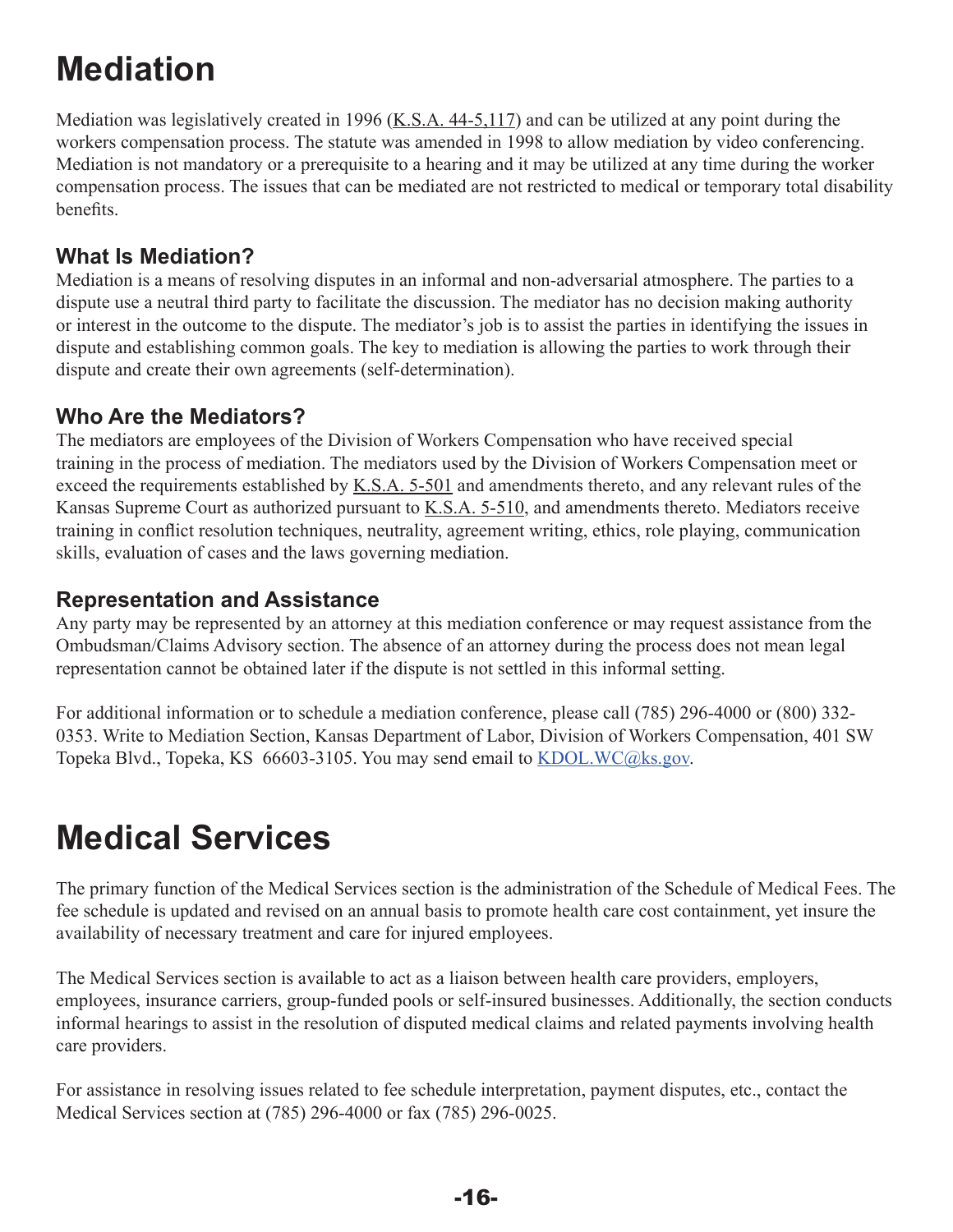# <span id="page-18-0"></span>**Mediation**

Mediation was legislatively created in 1996 ( $K.S.A. 44-5,117$ ) and can be utilized at any point during the workers compensation process. The statute was amended in 1998 to allow mediation by video conferencing. Mediation is not mandatory or a prerequisite to a hearing and it may be utilized at any time during the worker compensation process. The issues that can be mediated are not restricted to medical or temporary total disability benefits.

#### **What Is Mediation?**

Mediation is a means of resolving disputes in an informal and non-adversarial atmosphere. The parties to a dispute use a neutral third party to facilitate the discussion. The mediator has no decision making authority or interest in the outcome to the dispute. The mediator's job is to assist the parties in identifying the issues in dispute and establishing common goals. The key to mediation is allowing the parties to work through their dispute and create their own agreements (self-determination).

#### **Who Are the Mediators?**

The mediators are employees of the Division of Workers Compensation who have received special training in the process of mediation. The mediators used by the Division of Workers Compensation meet or exceed the requirements established by [K.S.A. 5-501](http://www.kslegislature.org/li/b2015_16/statute/005_000_0000_chapter/005_005_0000_article/005_005_0001_section/005_005_0001_k/) and amendments thereto, and any relevant rules of the Kansas Supreme Court as authorized pursuant to [K.S.A. 5-510,](http://kslegislature.org/li/b2015_16/statute/005_000_0000_chapter/005_005_0000_article/005_005_0010_section/005_005_0010_k/) and amendments thereto. Mediators receive training in conflict resolution techniques, neutrality, agreement writing, ethics, role playing, communication skills, evaluation of cases and the laws governing mediation.

#### **Representation and Assistance**

Any party may be represented by an attorney at this mediation conference or may request assistance from the Ombudsman/Claims Advisory section. The absence of an attorney during the process does not mean legal representation cannot be obtained later if the dispute is not settled in this informal setting.

For additional information or to schedule a mediation conference, please call (785) 296-4000 or (800) 332- 0353. Write to Mediation Section, Kansas Department of Labor, Division of Workers Compensation, 401 SW Topeka Blvd., Topeka, KS 66603-3105. You may send email to **[KDOL.WC@ks.gov](mailto:KDOL.WC%40ks.gov?subject=).** 

### **Medical Services**

The primary function of the Medical Services section is the administration of the Schedule of Medical Fees. The fee schedule is updated and revised on an annual basis to promote health care cost containment, yet insure the availability of necessary treatment and care for injured employees.

The Medical Services section is available to act as a liaison between health care providers, employers, employees, insurance carriers, group-funded pools or self-insured businesses. Additionally, the section conducts informal hearings to assist in the resolution of disputed medical claims and related payments involving health care providers.

For assistance in resolving issues related to fee schedule interpretation, payment disputes, etc., contact the Medical Services section at (785) 296-4000 or fax (785) 296-0025.